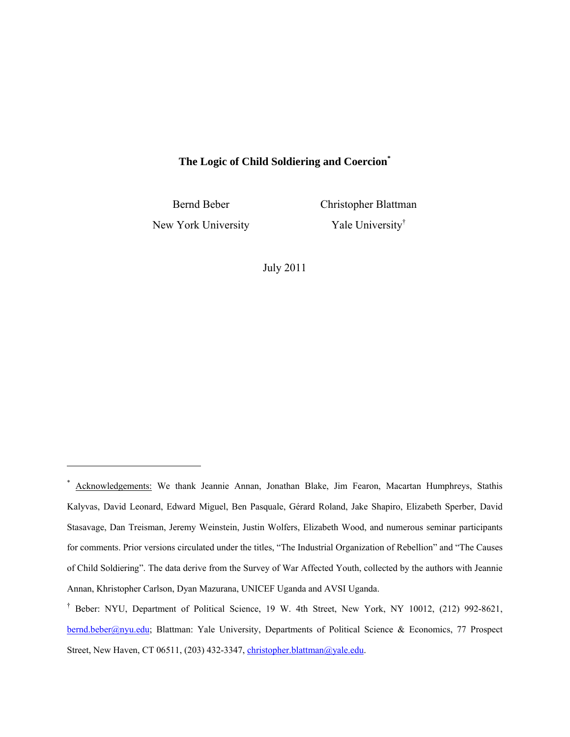## **The Logic of Child Soldiering and Coercion\***

 $\overline{a}$ 

 Bernd Beber Christopher Blattman New York University Yale University<sup>†</sup>

July 2011

<sup>\*</sup> Acknowledgements: We thank Jeannie Annan, Jonathan Blake, Jim Fearon, Macartan Humphreys, Stathis Kalyvas, David Leonard, Edward Miguel, Ben Pasquale, Gérard Roland, Jake Shapiro, Elizabeth Sperber, David Stasavage, Dan Treisman, Jeremy Weinstein, Justin Wolfers, Elizabeth Wood, and numerous seminar participants for comments. Prior versions circulated under the titles, "The Industrial Organization of Rebellion" and "The Causes of Child Soldiering". The data derive from the Survey of War Affected Youth, collected by the authors with Jeannie Annan, Khristopher Carlson, Dyan Mazurana, UNICEF Uganda and AVSI Uganda.

<sup>†</sup> Beber: NYU, Department of Political Science, 19 W. 4th Street, New York, NY 10012, (212) 992-8621, bernd.beber@nyu.edu; Blattman: Yale University, Departments of Political Science & Economics, 77 Prospect Street, New Haven, CT 06511, (203) 432-3347, christopher.blattman@yale.edu.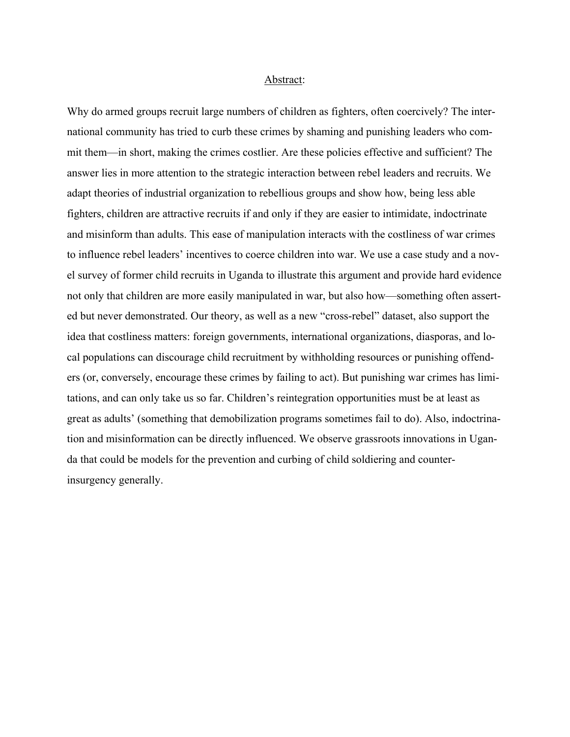#### Abstract:

Why do armed groups recruit large numbers of children as fighters, often coercively? The international community has tried to curb these crimes by shaming and punishing leaders who commit them—in short, making the crimes costlier. Are these policies effective and sufficient? The answer lies in more attention to the strategic interaction between rebel leaders and recruits. We adapt theories of industrial organization to rebellious groups and show how, being less able fighters, children are attractive recruits if and only if they are easier to intimidate, indoctrinate and misinform than adults. This ease of manipulation interacts with the costliness of war crimes to influence rebel leaders' incentives to coerce children into war. We use a case study and a novel survey of former child recruits in Uganda to illustrate this argument and provide hard evidence not only that children are more easily manipulated in war, but also how—something often asserted but never demonstrated. Our theory, as well as a new "cross-rebel" dataset, also support the idea that costliness matters: foreign governments, international organizations, diasporas, and local populations can discourage child recruitment by withholding resources or punishing offenders (or, conversely, encourage these crimes by failing to act). But punishing war crimes has limitations, and can only take us so far. Children's reintegration opportunities must be at least as great as adults' (something that demobilization programs sometimes fail to do). Also, indoctrination and misinformation can be directly influenced. We observe grassroots innovations in Uganda that could be models for the prevention and curbing of child soldiering and counterinsurgency generally.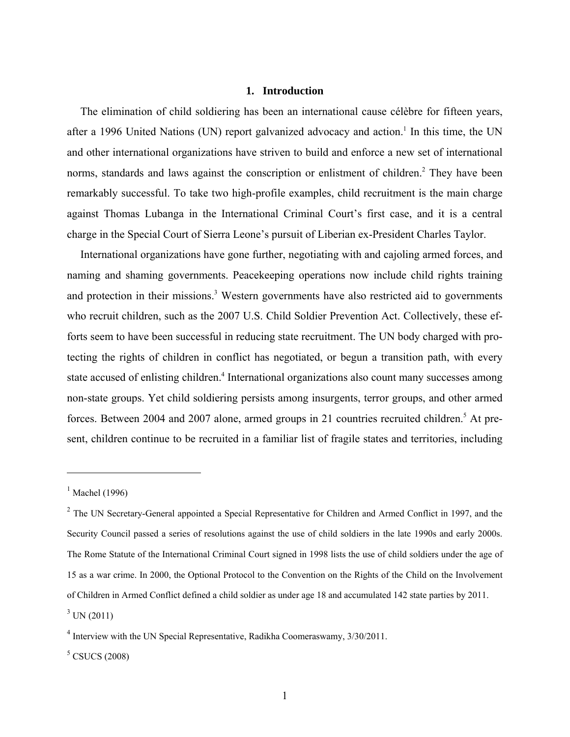### **1. Introduction**

The elimination of child soldiering has been an international cause célèbre for fifteen years, after a 1996 United Nations (UN) report galvanized advocacy and action.<sup>1</sup> In this time, the UN and other international organizations have striven to build and enforce a new set of international norms, standards and laws against the conscription or enlistment of children.<sup>2</sup> They have been remarkably successful. To take two high-profile examples, child recruitment is the main charge against Thomas Lubanga in the International Criminal Court's first case, and it is a central charge in the Special Court of Sierra Leone's pursuit of Liberian ex-President Charles Taylor.

International organizations have gone further, negotiating with and cajoling armed forces, and naming and shaming governments. Peacekeeping operations now include child rights training and protection in their missions.<sup>3</sup> Western governments have also restricted aid to governments who recruit children, such as the 2007 U.S. Child Soldier Prevention Act. Collectively, these efforts seem to have been successful in reducing state recruitment. The UN body charged with protecting the rights of children in conflict has negotiated, or begun a transition path, with every state accused of enlisting children.<sup>4</sup> International organizations also count many successes among non-state groups. Yet child soldiering persists among insurgents, terror groups, and other armed forces. Between 2004 and 2007 alone, armed groups in 21 countries recruited children.<sup>5</sup> At present, children continue to be recruited in a familiar list of fragile states and territories, including

1

 $3$  UN (2011)

 $<sup>1</sup>$  Machel (1996)</sup>

<sup>&</sup>lt;sup>2</sup> The UN Secretary-General appointed a Special Representative for Children and Armed Conflict in 1997, and the Security Council passed a series of resolutions against the use of child soldiers in the late 1990s and early 2000s. The Rome Statute of the International Criminal Court signed in 1998 lists the use of child soldiers under the age of 15 as a war crime. In 2000, the Optional Protocol to the Convention on the Rights of the Child on the Involvement of Children in Armed Conflict defined a child soldier as under age 18 and accumulated 142 state parties by 2011.

<sup>&</sup>lt;sup>4</sup> Interview with the UN Special Representative, Radikha Coomeraswamy, 3/30/2011.

 $<sup>5</sup>$  CSUCS (2008)</sup>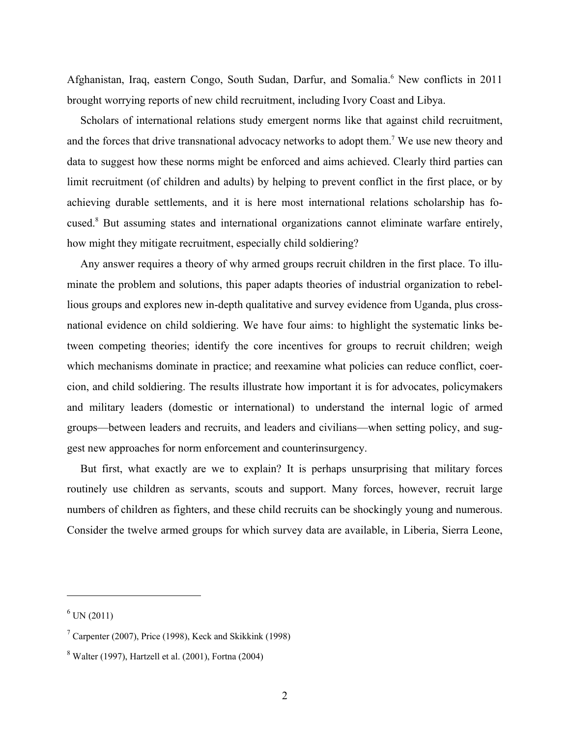Afghanistan, Iraq, eastern Congo, South Sudan, Darfur, and Somalia.<sup>6</sup> New conflicts in 2011 brought worrying reports of new child recruitment, including Ivory Coast and Libya.

Scholars of international relations study emergent norms like that against child recruitment, and the forces that drive transnational advocacy networks to adopt them.<sup>7</sup> We use new theory and data to suggest how these norms might be enforced and aims achieved. Clearly third parties can limit recruitment (of children and adults) by helping to prevent conflict in the first place, or by achieving durable settlements, and it is here most international relations scholarship has focused.<sup>8</sup> But assuming states and international organizations cannot eliminate warfare entirely, how might they mitigate recruitment, especially child soldiering?

Any answer requires a theory of why armed groups recruit children in the first place. To illuminate the problem and solutions, this paper adapts theories of industrial organization to rebellious groups and explores new in-depth qualitative and survey evidence from Uganda, plus crossnational evidence on child soldiering. We have four aims: to highlight the systematic links between competing theories; identify the core incentives for groups to recruit children; weigh which mechanisms dominate in practice; and reexamine what policies can reduce conflict, coercion, and child soldiering. The results illustrate how important it is for advocates, policymakers and military leaders (domestic or international) to understand the internal logic of armed groups—between leaders and recruits, and leaders and civilians—when setting policy, and suggest new approaches for norm enforcement and counterinsurgency.

But first, what exactly are we to explain? It is perhaps unsurprising that military forces routinely use children as servants, scouts and support. Many forces, however, recruit large numbers of children as fighters, and these child recruits can be shockingly young and numerous. Consider the twelve armed groups for which survey data are available, in Liberia, Sierra Leone,

 $6$  UN (2011)

 $7$  Carpenter (2007), Price (1998), Keck and Skikkink (1998)

 $8$  Walter (1997), Hartzell et al. (2001), Fortna (2004)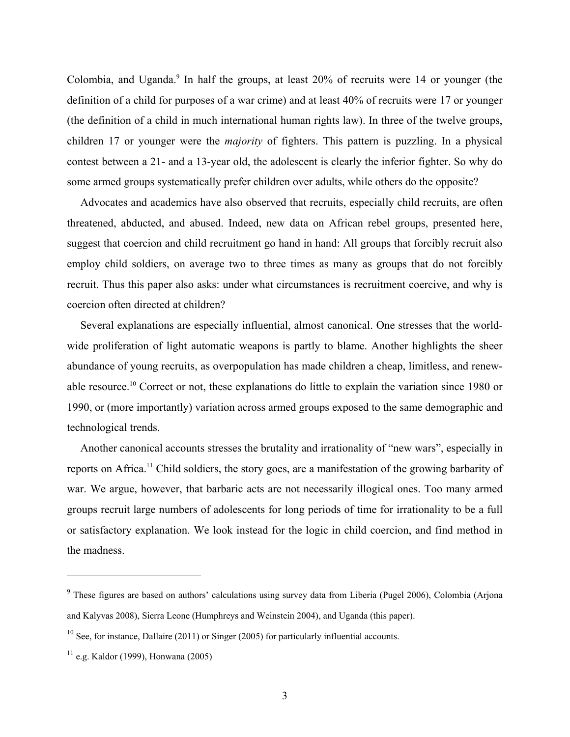Colombia, and Uganda.<sup>9</sup> In half the groups, at least 20% of recruits were 14 or younger (the definition of a child for purposes of a war crime) and at least 40% of recruits were 17 or younger (the definition of a child in much international human rights law). In three of the twelve groups, children 17 or younger were the *majority* of fighters. This pattern is puzzling. In a physical contest between a 21- and a 13-year old, the adolescent is clearly the inferior fighter. So why do some armed groups systematically prefer children over adults, while others do the opposite?

Advocates and academics have also observed that recruits, especially child recruits, are often threatened, abducted, and abused. Indeed, new data on African rebel groups, presented here, suggest that coercion and child recruitment go hand in hand: All groups that forcibly recruit also employ child soldiers, on average two to three times as many as groups that do not forcibly recruit. Thus this paper also asks: under what circumstances is recruitment coercive, and why is coercion often directed at children?

Several explanations are especially influential, almost canonical. One stresses that the worldwide proliferation of light automatic weapons is partly to blame. Another highlights the sheer abundance of young recruits, as overpopulation has made children a cheap, limitless, and renewable resource.10 Correct or not, these explanations do little to explain the variation since 1980 or 1990, or (more importantly) variation across armed groups exposed to the same demographic and technological trends.

Another canonical accounts stresses the brutality and irrationality of "new wars", especially in reports on Africa.<sup>11</sup> Child soldiers, the story goes, are a manifestation of the growing barbarity of war. We argue, however, that barbaric acts are not necessarily illogical ones. Too many armed groups recruit large numbers of adolescents for long periods of time for irrationality to be a full or satisfactory explanation. We look instead for the logic in child coercion, and find method in the madness.

<u>.</u>

<sup>&</sup>lt;sup>9</sup> These figures are based on authors' calculations using survey data from Liberia (Pugel 2006), Colombia (Arjona and Kalyvas 2008), Sierra Leone (Humphreys and Weinstein 2004), and Uganda (this paper).

<sup>&</sup>lt;sup>10</sup> See, for instance, Dallaire (2011) or Singer (2005) for particularly influential accounts.

 $11$  e.g. Kaldor (1999), Honwana (2005)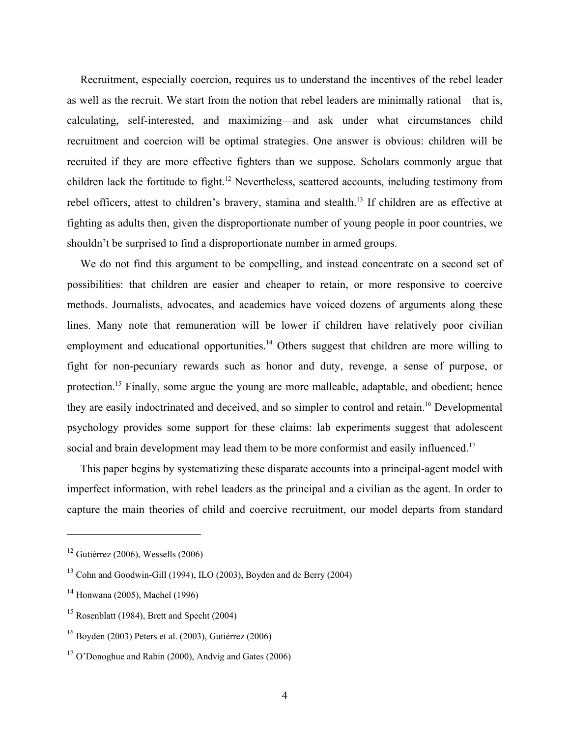Recruitment, especially coercion, requires us to understand the incentives of the rebel leader as well as the recruit. We start from the notion that rebel leaders are minimally rational—that is, calculating, self-interested, and maximizing—and ask under what circumstances child recruitment and coercion will be optimal strategies. One answer is obvious: children will be recruited if they are more effective fighters than we suppose. Scholars commonly argue that children lack the fortitude to fight.<sup>12</sup> Nevertheless, scattered accounts, including testimony from rebel officers, attest to children's bravery, stamina and stealth.<sup>13</sup> If children are as effective at fighting as adults then, given the disproportionate number of young people in poor countries, we shouldn't be surprised to find a disproportionate number in armed groups.

We do not find this argument to be compelling, and instead concentrate on a second set of possibilities: that children are easier and cheaper to retain, or more responsive to coercive methods. Journalists, advocates, and academics have voiced dozens of arguments along these lines. Many note that remuneration will be lower if children have relatively poor civilian employment and educational opportunities.<sup>14</sup> Others suggest that children are more willing to fight for non-pecuniary rewards such as honor and duty, revenge, a sense of purpose, or protection.<sup>15</sup> Finally, some argue the young are more malleable, adaptable, and obedient; hence they are easily indoctrinated and deceived, and so simpler to control and retain.<sup>16</sup> Developmental psychology provides some support for these claims: lab experiments suggest that adolescent social and brain development may lead them to be more conformist and easily influenced.<sup>17</sup>

This paper begins by systematizing these disparate accounts into a principal-agent model with imperfect information, with rebel leaders as the principal and a civilian as the agent. In order to capture the main theories of child and coercive recruitment, our model departs from standard

1

 $12$  Gutiérrez (2006), Wessells (2006)

<sup>&</sup>lt;sup>13</sup> Cohn and Goodwin-Gill (1994), ILO (2003), Boyden and de Berry (2004)

<sup>14</sup> Honwana (2005), Machel (1996)

<sup>15</sup> Rosenblatt (1984), Brett and Specht (2004)

<sup>&</sup>lt;sup>16</sup> Boyden (2003) Peters et al. (2003), Gutiérrez (2006)

 $17$  O'Donoghue and Rabin (2000), Andvig and Gates (2006)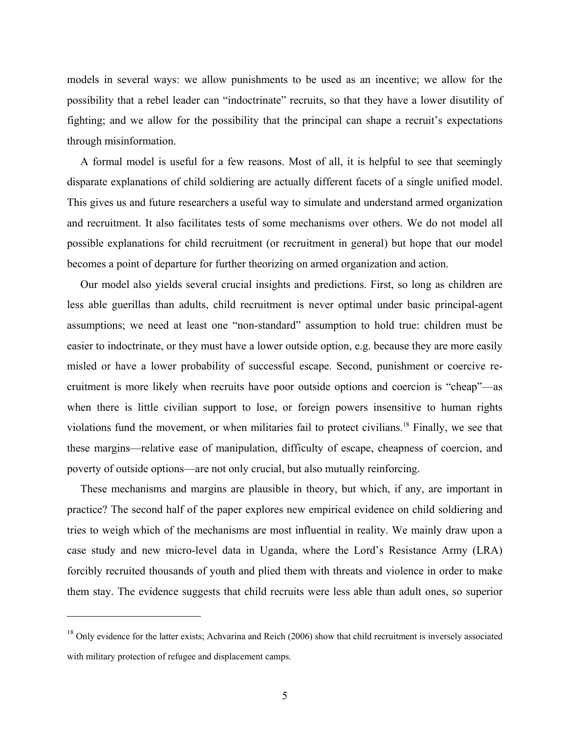models in several ways: we allow punishments to be used as an incentive; we allow for the possibility that a rebel leader can "indoctrinate" recruits, so that they have a lower disutility of fighting; and we allow for the possibility that the principal can shape a recruit's expectations through misinformation.

A formal model is useful for a few reasons. Most of all, it is helpful to see that seemingly disparate explanations of child soldiering are actually different facets of a single unified model. This gives us and future researchers a useful way to simulate and understand armed organization and recruitment. It also facilitates tests of some mechanisms over others. We do not model all possible explanations for child recruitment (or recruitment in general) but hope that our model becomes a point of departure for further theorizing on armed organization and action.

Our model also yields several crucial insights and predictions. First, so long as children are less able guerillas than adults, child recruitment is never optimal under basic principal-agent assumptions; we need at least one "non-standard" assumption to hold true: children must be easier to indoctrinate, or they must have a lower outside option, e.g. because they are more easily misled or have a lower probability of successful escape. Second, punishment or coercive recruitment is more likely when recruits have poor outside options and coercion is "cheap"—as when there is little civilian support to lose, or foreign powers insensitive to human rights violations fund the movement, or when militaries fail to protect civilians.18 Finally, we see that these margins—relative ease of manipulation, difficulty of escape, cheapness of coercion, and poverty of outside options—are not only crucial, but also mutually reinforcing.

These mechanisms and margins are plausible in theory, but which, if any, are important in practice? The second half of the paper explores new empirical evidence on child soldiering and tries to weigh which of the mechanisms are most influential in reality. We mainly draw upon a case study and new micro-level data in Uganda, where the Lord's Resistance Army (LRA) forcibly recruited thousands of youth and plied them with threats and violence in order to make them stay. The evidence suggests that child recruits were less able than adult ones, so superior

 $18$  Only evidence for the latter exists; Achvarina and Reich (2006) show that child recruitment is inversely associated with military protection of refugee and displacement camps.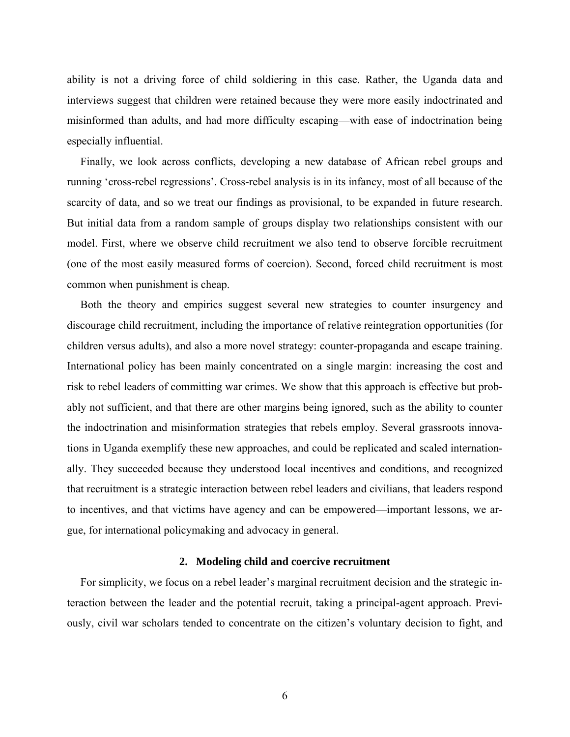ability is not a driving force of child soldiering in this case. Rather, the Uganda data and interviews suggest that children were retained because they were more easily indoctrinated and misinformed than adults, and had more difficulty escaping—with ease of indoctrination being especially influential.

Finally, we look across conflicts, developing a new database of African rebel groups and running 'cross-rebel regressions'. Cross-rebel analysis is in its infancy, most of all because of the scarcity of data, and so we treat our findings as provisional, to be expanded in future research. But initial data from a random sample of groups display two relationships consistent with our model. First, where we observe child recruitment we also tend to observe forcible recruitment (one of the most easily measured forms of coercion). Second, forced child recruitment is most common when punishment is cheap.

Both the theory and empirics suggest several new strategies to counter insurgency and discourage child recruitment, including the importance of relative reintegration opportunities (for children versus adults), and also a more novel strategy: counter-propaganda and escape training. International policy has been mainly concentrated on a single margin: increasing the cost and risk to rebel leaders of committing war crimes. We show that this approach is effective but probably not sufficient, and that there are other margins being ignored, such as the ability to counter the indoctrination and misinformation strategies that rebels employ. Several grassroots innovations in Uganda exemplify these new approaches, and could be replicated and scaled internationally. They succeeded because they understood local incentives and conditions, and recognized that recruitment is a strategic interaction between rebel leaders and civilians, that leaders respond to incentives, and that victims have agency and can be empowered—important lessons, we argue, for international policymaking and advocacy in general.

### **2. Modeling child and coercive recruitment**

For simplicity, we focus on a rebel leader's marginal recruitment decision and the strategic interaction between the leader and the potential recruit, taking a principal-agent approach. Previously, civil war scholars tended to concentrate on the citizen's voluntary decision to fight, and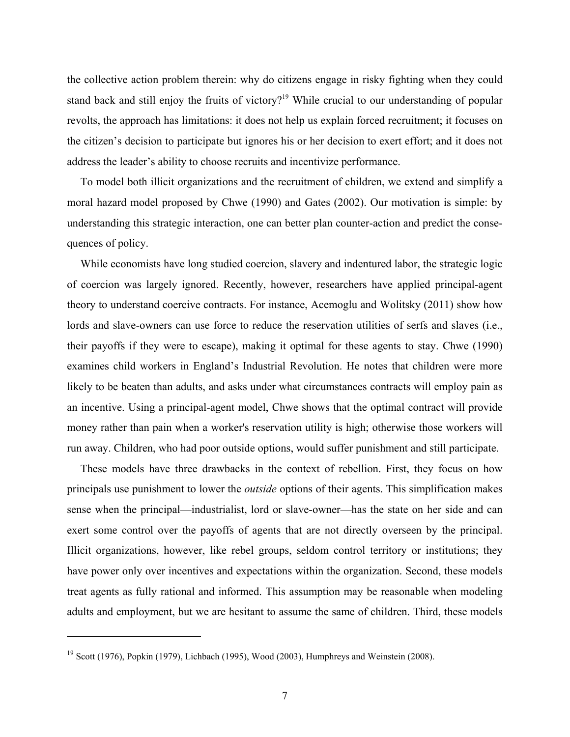the collective action problem therein: why do citizens engage in risky fighting when they could stand back and still enjoy the fruits of victory?<sup>19</sup> While crucial to our understanding of popular revolts, the approach has limitations: it does not help us explain forced recruitment; it focuses on the citizen's decision to participate but ignores his or her decision to exert effort; and it does not address the leader's ability to choose recruits and incentivize performance.

To model both illicit organizations and the recruitment of children, we extend and simplify a moral hazard model proposed by Chwe (1990) and Gates (2002). Our motivation is simple: by understanding this strategic interaction, one can better plan counter-action and predict the consequences of policy.

While economists have long studied coercion, slavery and indentured labor, the strategic logic of coercion was largely ignored. Recently, however, researchers have applied principal-agent theory to understand coercive contracts. For instance, Acemoglu and Wolitsky (2011) show how lords and slave-owners can use force to reduce the reservation utilities of serfs and slaves (i.e., their payoffs if they were to escape), making it optimal for these agents to stay. Chwe (1990) examines child workers in England's Industrial Revolution. He notes that children were more likely to be beaten than adults, and asks under what circumstances contracts will employ pain as an incentive. Using a principal-agent model, Chwe shows that the optimal contract will provide money rather than pain when a worker's reservation utility is high; otherwise those workers will run away. Children, who had poor outside options, would suffer punishment and still participate.

These models have three drawbacks in the context of rebellion. First, they focus on how principals use punishment to lower the *outside* options of their agents. This simplification makes sense when the principal—industrialist, lord or slave-owner—has the state on her side and can exert some control over the payoffs of agents that are not directly overseen by the principal. Illicit organizations, however, like rebel groups, seldom control territory or institutions; they have power only over incentives and expectations within the organization. Second, these models treat agents as fully rational and informed. This assumption may be reasonable when modeling adults and employment, but we are hesitant to assume the same of children. Third, these models

<sup>&</sup>lt;sup>19</sup> Scott (1976), Popkin (1979), Lichbach (1995), Wood (2003), Humphreys and Weinstein (2008).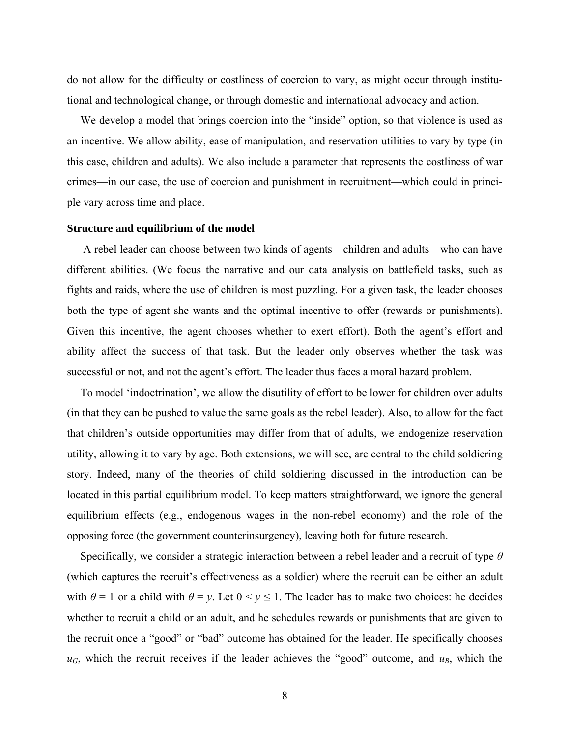do not allow for the difficulty or costliness of coercion to vary, as might occur through institutional and technological change, or through domestic and international advocacy and action.

We develop a model that brings coercion into the "inside" option, so that violence is used as an incentive. We allow ability, ease of manipulation, and reservation utilities to vary by type (in this case, children and adults). We also include a parameter that represents the costliness of war crimes—in our case, the use of coercion and punishment in recruitment—which could in principle vary across time and place.

#### **Structure and equilibrium of the model**

 A rebel leader can choose between two kinds of agents—children and adults—who can have different abilities. (We focus the narrative and our data analysis on battlefield tasks, such as fights and raids, where the use of children is most puzzling. For a given task, the leader chooses both the type of agent she wants and the optimal incentive to offer (rewards or punishments). Given this incentive, the agent chooses whether to exert effort). Both the agent's effort and ability affect the success of that task. But the leader only observes whether the task was successful or not, and not the agent's effort. The leader thus faces a moral hazard problem.

To model 'indoctrination', we allow the disutility of effort to be lower for children over adults (in that they can be pushed to value the same goals as the rebel leader). Also, to allow for the fact that children's outside opportunities may differ from that of adults, we endogenize reservation utility, allowing it to vary by age. Both extensions, we will see, are central to the child soldiering story. Indeed, many of the theories of child soldiering discussed in the introduction can be located in this partial equilibrium model. To keep matters straightforward, we ignore the general equilibrium effects (e.g., endogenous wages in the non-rebel economy) and the role of the opposing force (the government counterinsurgency), leaving both for future research.

Specifically, we consider a strategic interaction between a rebel leader and a recruit of type *θ* (which captures the recruit's effectiveness as a soldier) where the recruit can be either an adult with  $\theta = 1$  or a child with  $\theta = y$ . Let  $0 \le y \le 1$ . The leader has to make two choices: he decides whether to recruit a child or an adult, and he schedules rewards or punishments that are given to the recruit once a "good" or "bad" outcome has obtained for the leader. He specifically chooses  $u_G$ , which the recruit receives if the leader achieves the "good" outcome, and  $u_B$ , which the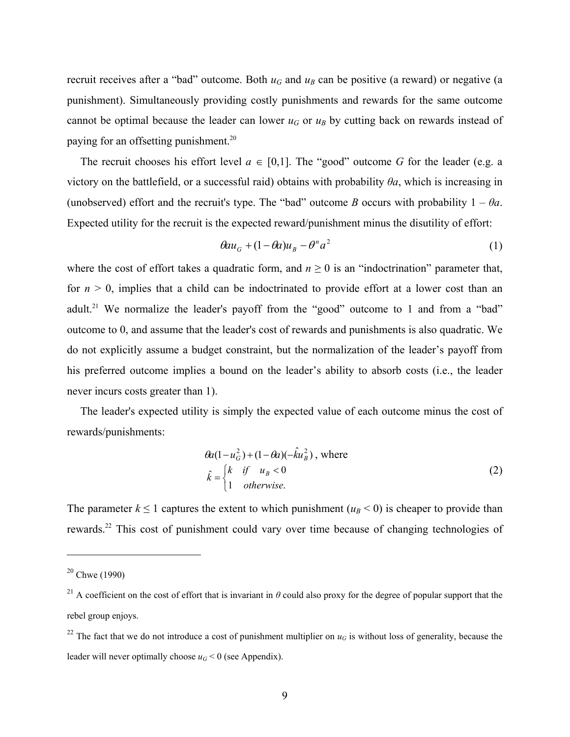recruit receives after a "bad" outcome. Both  $u_G$  and  $u_B$  can be positive (a reward) or negative (a punishment). Simultaneously providing costly punishments and rewards for the same outcome cannot be optimal because the leader can lower  $u_G$  or  $u_B$  by cutting back on rewards instead of paying for an offsetting punishment.<sup>20</sup>

The recruit chooses his effort level  $a \in [0,1]$ . The "good" outcome *G* for the leader (e.g. a victory on the battlefield, or a successful raid) obtains with probability *θa*, which is increasing in (unobserved) effort and the recruit's type. The "bad" outcome *B* occurs with probability  $1 - \theta a$ . Expected utility for the recruit is the expected reward/punishment minus the disutility of effort:

$$
\theta a u_G + (1 - \theta a) u_B - \theta^n a^2 \tag{1}
$$

where the cost of effort takes a quadratic form, and  $n \geq 0$  is an "indoctrination" parameter that, for  $n > 0$ , implies that a child can be indoctrinated to provide effort at a lower cost than an adult.<sup>21</sup> We normalize the leader's payoff from the "good" outcome to 1 and from a "bad" outcome to 0, and assume that the leader's cost of rewards and punishments is also quadratic. We do not explicitly assume a budget constraint, but the normalization of the leader's payoff from his preferred outcome implies a bound on the leader's ability to absorb costs (i.e., the leader never incurs costs greater than 1).

The leader's expected utility is simply the expected value of each outcome minus the cost of rewards/punishments:

$$
\theta a (1 - u_G^2) + (1 - \theta a)(-\hat{k}u_B^2), \text{ where}
$$
  
\n
$$
\hat{k} = \begin{cases}\nk & \text{if } u_B < 0 \\
1 & \text{otherwise.}\n\end{cases}
$$
\n(2)

The parameter  $k \le 1$  captures the extent to which punishment ( $u_B < 0$ ) is cheaper to provide than rewards.22 This cost of punishment could vary over time because of changing technologies of

 $20$  Chwe (1990)

<sup>&</sup>lt;sup>21</sup> A coefficient on the cost of effort that is invariant in  $\theta$  could also proxy for the degree of popular support that the rebel group enjoys.

<sup>&</sup>lt;sup>22</sup> The fact that we do not introduce a cost of punishment multiplier on  $u_G$  is without loss of generality, because the leader will never optimally choose  $u_G < 0$  (see Appendix).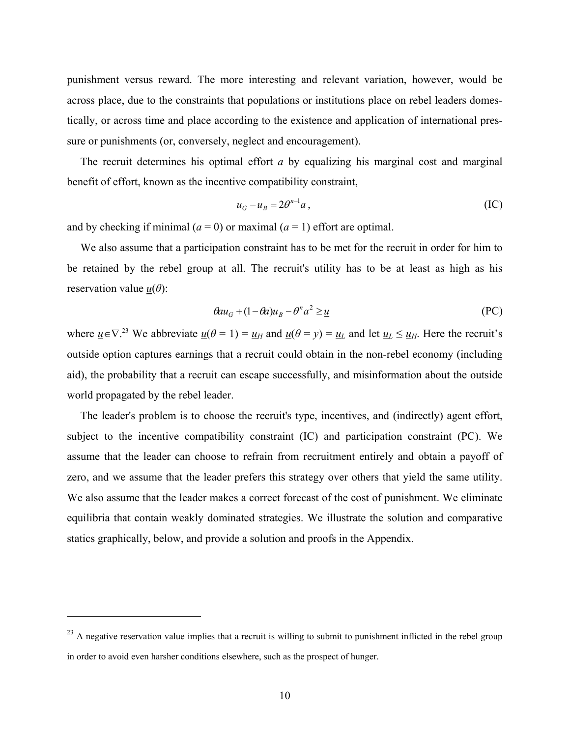punishment versus reward. The more interesting and relevant variation, however, would be across place, due to the constraints that populations or institutions place on rebel leaders domestically, or across time and place according to the existence and application of international pressure or punishments (or, conversely, neglect and encouragement).

The recruit determines his optimal effort *a* by equalizing his marginal cost and marginal benefit of effort, known as the incentive compatibility constraint,

$$
u_G - u_B = 2\theta^{n-1}a\,,\tag{IC}
$$

and by checking if minimal  $(a = 0)$  or maximal  $(a = 1)$  effort are optimal.

We also assume that a participation constraint has to be met for the recruit in order for him to be retained by the rebel group at all. The recruit's utility has to be at least as high as his reservation value  $u(\theta)$ :

$$
\theta a u_G + (1 - \theta a) u_B - \theta^n a^2 \ge \underline{u} \tag{PC}
$$

where  $\underline{u} \in \nabla$ .<sup>23</sup> We abbreviate  $\underline{u}(\theta = 1) = \underline{u}_H$  and  $\underline{u}(\theta = y) = \underline{u}_L$  and let  $\underline{u}_L \le \underline{u}_H$ . Here the recruit's outside option captures earnings that a recruit could obtain in the non-rebel economy (including aid), the probability that a recruit can escape successfully, and misinformation about the outside world propagated by the rebel leader.

The leader's problem is to choose the recruit's type, incentives, and (indirectly) agent effort, subject to the incentive compatibility constraint (IC) and participation constraint (PC). We assume that the leader can choose to refrain from recruitment entirely and obtain a payoff of zero, and we assume that the leader prefers this strategy over others that yield the same utility. We also assume that the leader makes a correct forecast of the cost of punishment. We eliminate equilibria that contain weakly dominated strategies. We illustrate the solution and comparative statics graphically, below, and provide a solution and proofs in the Appendix.

 $^{23}$  A negative reservation value implies that a recruit is willing to submit to punishment inflicted in the rebel group in order to avoid even harsher conditions elsewhere, such as the prospect of hunger.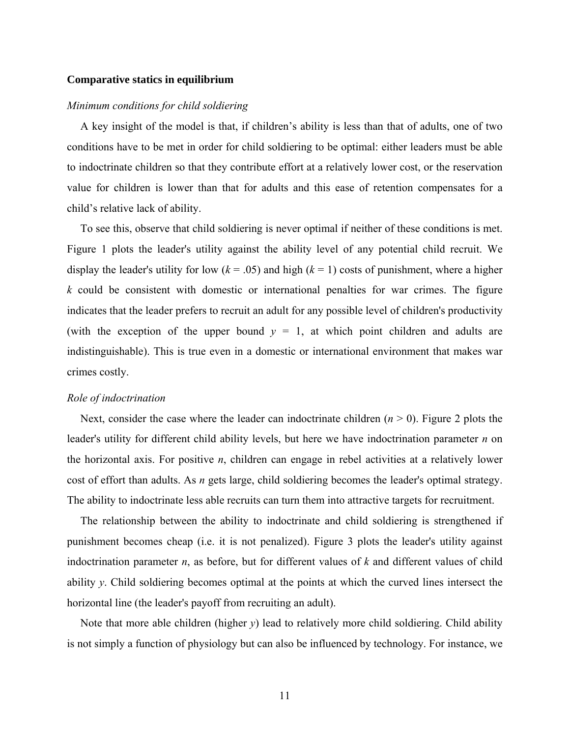## **Comparative statics in equilibrium**

#### *Minimum conditions for child soldiering*

A key insight of the model is that, if children's ability is less than that of adults, one of two conditions have to be met in order for child soldiering to be optimal: either leaders must be able to indoctrinate children so that they contribute effort at a relatively lower cost, or the reservation value for children is lower than that for adults and this ease of retention compensates for a child's relative lack of ability.

To see this, observe that child soldiering is never optimal if neither of these conditions is met. Figure 1 plots the leader's utility against the ability level of any potential child recruit. We display the leader's utility for low  $(k = .05)$  and high  $(k = 1)$  costs of punishment, where a higher *k* could be consistent with domestic or international penalties for war crimes. The figure indicates that the leader prefers to recruit an adult for any possible level of children's productivity (with the exception of the upper bound  $y = 1$ , at which point children and adults are indistinguishable). This is true even in a domestic or international environment that makes war crimes costly.

#### *Role of indoctrination*

Next, consider the case where the leader can indoctrinate children  $(n > 0)$ . Figure 2 plots the leader's utility for different child ability levels, but here we have indoctrination parameter *n* on the horizontal axis. For positive *n*, children can engage in rebel activities at a relatively lower cost of effort than adults. As *n* gets large, child soldiering becomes the leader's optimal strategy. The ability to indoctrinate less able recruits can turn them into attractive targets for recruitment.

The relationship between the ability to indoctrinate and child soldiering is strengthened if punishment becomes cheap (i.e. it is not penalized). Figure 3 plots the leader's utility against indoctrination parameter *n*, as before, but for different values of *k* and different values of child ability *y*. Child soldiering becomes optimal at the points at which the curved lines intersect the horizontal line (the leader's payoff from recruiting an adult).

Note that more able children (higher *y*) lead to relatively more child soldiering. Child ability is not simply a function of physiology but can also be influenced by technology. For instance, we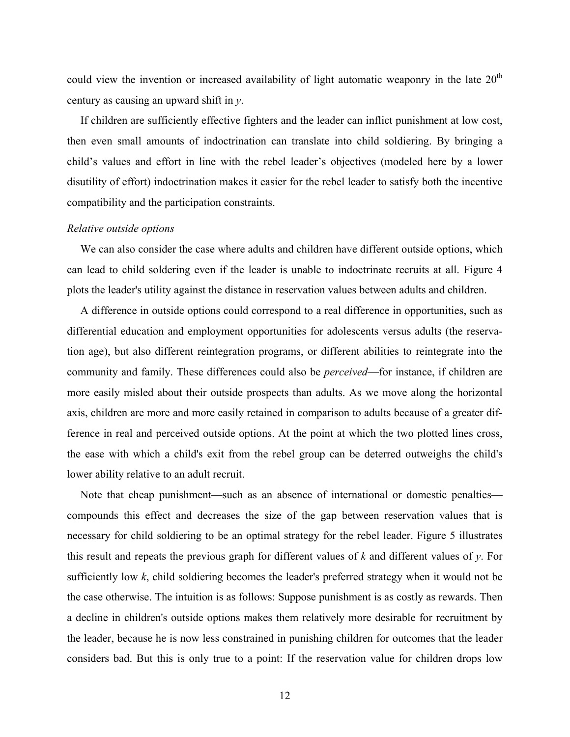could view the invention or increased availability of light automatic weaponry in the late  $20<sup>th</sup>$ century as causing an upward shift in *y*.

If children are sufficiently effective fighters and the leader can inflict punishment at low cost, then even small amounts of indoctrination can translate into child soldiering. By bringing a child's values and effort in line with the rebel leader's objectives (modeled here by a lower disutility of effort) indoctrination makes it easier for the rebel leader to satisfy both the incentive compatibility and the participation constraints.

#### *Relative outside options*

We can also consider the case where adults and children have different outside options, which can lead to child soldering even if the leader is unable to indoctrinate recruits at all. Figure 4 plots the leader's utility against the distance in reservation values between adults and children.

A difference in outside options could correspond to a real difference in opportunities, such as differential education and employment opportunities for adolescents versus adults (the reservation age), but also different reintegration programs, or different abilities to reintegrate into the community and family. These differences could also be *perceived*—for instance, if children are more easily misled about their outside prospects than adults. As we move along the horizontal axis, children are more and more easily retained in comparison to adults because of a greater difference in real and perceived outside options. At the point at which the two plotted lines cross, the ease with which a child's exit from the rebel group can be deterred outweighs the child's lower ability relative to an adult recruit.

Note that cheap punishment—such as an absence of international or domestic penalties compounds this effect and decreases the size of the gap between reservation values that is necessary for child soldiering to be an optimal strategy for the rebel leader. Figure 5 illustrates this result and repeats the previous graph for different values of *k* and different values of *y*. For sufficiently low *k*, child soldiering becomes the leader's preferred strategy when it would not be the case otherwise. The intuition is as follows: Suppose punishment is as costly as rewards. Then a decline in children's outside options makes them relatively more desirable for recruitment by the leader, because he is now less constrained in punishing children for outcomes that the leader considers bad. But this is only true to a point: If the reservation value for children drops low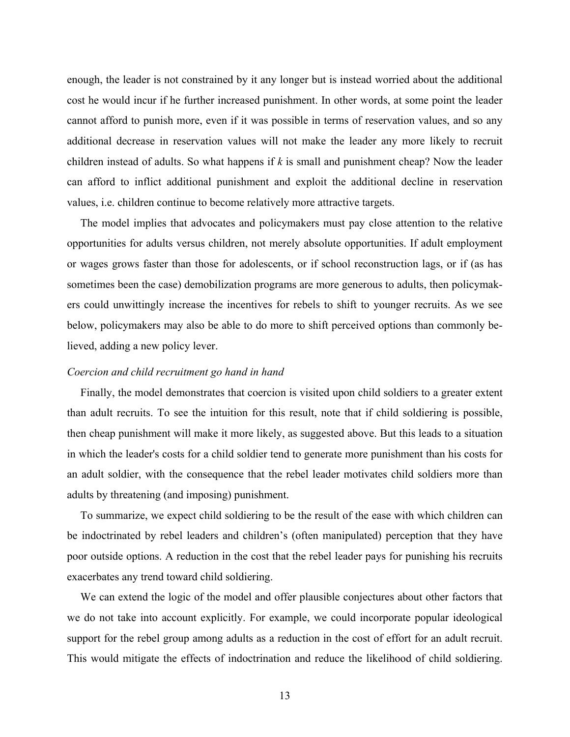enough, the leader is not constrained by it any longer but is instead worried about the additional cost he would incur if he further increased punishment. In other words, at some point the leader cannot afford to punish more, even if it was possible in terms of reservation values, and so any additional decrease in reservation values will not make the leader any more likely to recruit children instead of adults. So what happens if *k* is small and punishment cheap? Now the leader can afford to inflict additional punishment and exploit the additional decline in reservation values, i.e. children continue to become relatively more attractive targets.

The model implies that advocates and policymakers must pay close attention to the relative opportunities for adults versus children, not merely absolute opportunities. If adult employment or wages grows faster than those for adolescents, or if school reconstruction lags, or if (as has sometimes been the case) demobilization programs are more generous to adults, then policymakers could unwittingly increase the incentives for rebels to shift to younger recruits. As we see below, policymakers may also be able to do more to shift perceived options than commonly believed, adding a new policy lever.

#### *Coercion and child recruitment go hand in hand*

Finally, the model demonstrates that coercion is visited upon child soldiers to a greater extent than adult recruits. To see the intuition for this result, note that if child soldiering is possible, then cheap punishment will make it more likely, as suggested above. But this leads to a situation in which the leader's costs for a child soldier tend to generate more punishment than his costs for an adult soldier, with the consequence that the rebel leader motivates child soldiers more than adults by threatening (and imposing) punishment.

To summarize, we expect child soldiering to be the result of the ease with which children can be indoctrinated by rebel leaders and children's (often manipulated) perception that they have poor outside options. A reduction in the cost that the rebel leader pays for punishing his recruits exacerbates any trend toward child soldiering.

We can extend the logic of the model and offer plausible conjectures about other factors that we do not take into account explicitly. For example, we could incorporate popular ideological support for the rebel group among adults as a reduction in the cost of effort for an adult recruit. This would mitigate the effects of indoctrination and reduce the likelihood of child soldiering.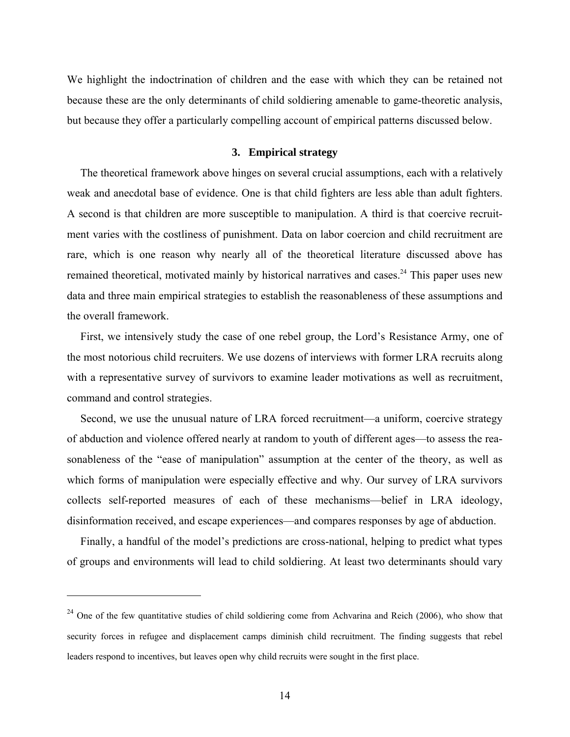We highlight the indoctrination of children and the ease with which they can be retained not because these are the only determinants of child soldiering amenable to game-theoretic analysis, but because they offer a particularly compelling account of empirical patterns discussed below.

#### **3. Empirical strategy**

The theoretical framework above hinges on several crucial assumptions, each with a relatively weak and anecdotal base of evidence. One is that child fighters are less able than adult fighters. A second is that children are more susceptible to manipulation. A third is that coercive recruitment varies with the costliness of punishment. Data on labor coercion and child recruitment are rare, which is one reason why nearly all of the theoretical literature discussed above has remained theoretical, motivated mainly by historical narratives and cases.<sup>24</sup> This paper uses new data and three main empirical strategies to establish the reasonableness of these assumptions and the overall framework.

First, we intensively study the case of one rebel group, the Lord's Resistance Army, one of the most notorious child recruiters. We use dozens of interviews with former LRA recruits along with a representative survey of survivors to examine leader motivations as well as recruitment, command and control strategies.

Second, we use the unusual nature of LRA forced recruitment—a uniform, coercive strategy of abduction and violence offered nearly at random to youth of different ages—to assess the reasonableness of the "ease of manipulation" assumption at the center of the theory, as well as which forms of manipulation were especially effective and why. Our survey of LRA survivors collects self-reported measures of each of these mechanisms—belief in LRA ideology, disinformation received, and escape experiences—and compares responses by age of abduction.

Finally, a handful of the model's predictions are cross-national, helping to predict what types of groups and environments will lead to child soldiering. At least two determinants should vary

 $^{24}$  One of the few quantitative studies of child soldiering come from Achvarina and Reich (2006), who show that security forces in refugee and displacement camps diminish child recruitment. The finding suggests that rebel leaders respond to incentives, but leaves open why child recruits were sought in the first place.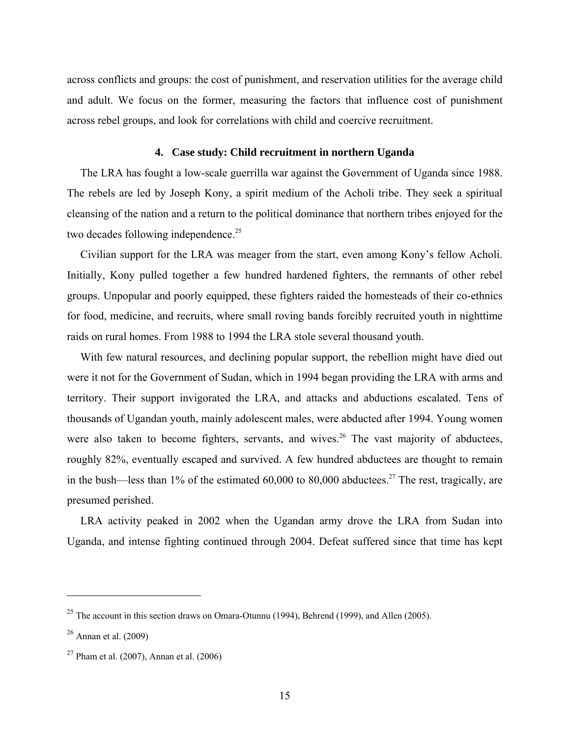across conflicts and groups: the cost of punishment, and reservation utilities for the average child and adult. We focus on the former, measuring the factors that influence cost of punishment across rebel groups, and look for correlations with child and coercive recruitment.

## **4. Case study: Child recruitment in northern Uganda**

The LRA has fought a low-scale guerrilla war against the Government of Uganda since 1988. The rebels are led by Joseph Kony, a spirit medium of the Acholi tribe. They seek a spiritual cleansing of the nation and a return to the political dominance that northern tribes enjoyed for the two decades following independence.<sup>25</sup>

Civilian support for the LRA was meager from the start, even among Kony's fellow Acholi. Initially, Kony pulled together a few hundred hardened fighters, the remnants of other rebel groups. Unpopular and poorly equipped, these fighters raided the homesteads of their co-ethnics for food, medicine, and recruits, where small roving bands forcibly recruited youth in nighttime raids on rural homes. From 1988 to 1994 the LRA stole several thousand youth.

With few natural resources, and declining popular support, the rebellion might have died out were it not for the Government of Sudan, which in 1994 began providing the LRA with arms and territory. Their support invigorated the LRA, and attacks and abductions escalated. Tens of thousands of Ugandan youth, mainly adolescent males, were abducted after 1994. Young women were also taken to become fighters, servants, and wives.<sup>26</sup> The vast majority of abductees, roughly 82%, eventually escaped and survived. A few hundred abductees are thought to remain in the bush—less than 1% of the estimated 60,000 to 80,000 abductees.<sup>27</sup> The rest, tragically, are presumed perished.

LRA activity peaked in 2002 when the Ugandan army drove the LRA from Sudan into Uganda, and intense fighting continued through 2004. Defeat suffered since that time has kept

 $25$  The account in this section draws on Omara-Otunnu (1994), Behrend (1999), and Allen (2005).

 $26$  Annan et al. (2009)

<sup>&</sup>lt;sup>27</sup> Pham et al. (2007), Annan et al. (2006)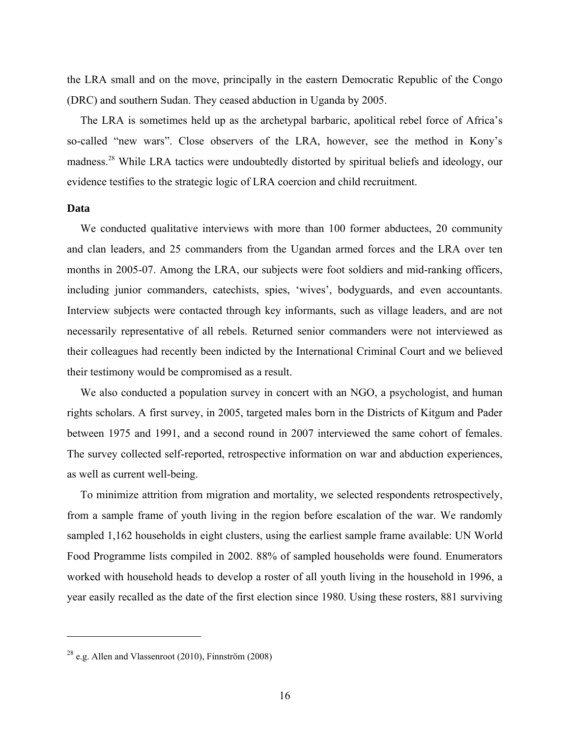the LRA small and on the move, principally in the eastern Democratic Republic of the Congo (DRC) and southern Sudan. They ceased abduction in Uganda by 2005.

The LRA is sometimes held up as the archetypal barbaric, apolitical rebel force of Africa's so-called "new wars". Close observers of the LRA, however, see the method in Kony's madness.28 While LRA tactics were undoubtedly distorted by spiritual beliefs and ideology, our evidence testifies to the strategic logic of LRA coercion and child recruitment.

## **Data**

 $\overline{a}$ 

We conducted qualitative interviews with more than 100 former abductees, 20 community and clan leaders, and 25 commanders from the Ugandan armed forces and the LRA over ten months in 2005-07. Among the LRA, our subjects were foot soldiers and mid-ranking officers, including junior commanders, catechists, spies, 'wives', bodyguards, and even accountants. Interview subjects were contacted through key informants, such as village leaders, and are not necessarily representative of all rebels. Returned senior commanders were not interviewed as their colleagues had recently been indicted by the International Criminal Court and we believed their testimony would be compromised as a result.

We also conducted a population survey in concert with an NGO, a psychologist, and human rights scholars. A first survey, in 2005, targeted males born in the Districts of Kitgum and Pader between 1975 and 1991, and a second round in 2007 interviewed the same cohort of females. The survey collected self-reported, retrospective information on war and abduction experiences, as well as current well-being.

To minimize attrition from migration and mortality, we selected respondents retrospectively, from a sample frame of youth living in the region before escalation of the war. We randomly sampled 1,162 households in eight clusters, using the earliest sample frame available: UN World Food Programme lists compiled in 2002. 88% of sampled households were found. Enumerators worked with household heads to develop a roster of all youth living in the household in 1996, a year easily recalled as the date of the first election since 1980. Using these rosters, 881 surviving

<sup>&</sup>lt;sup>28</sup> e.g. Allen and Vlassenroot (2010), Finnström (2008)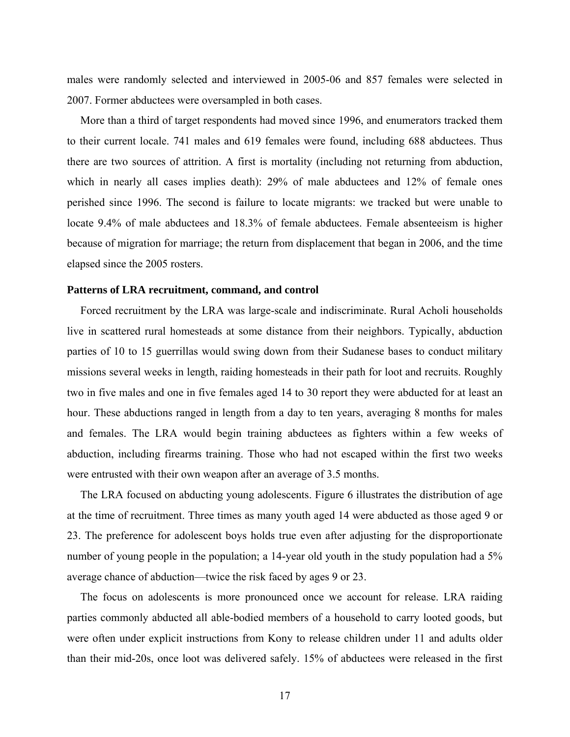males were randomly selected and interviewed in 2005-06 and 857 females were selected in 2007. Former abductees were oversampled in both cases.

More than a third of target respondents had moved since 1996, and enumerators tracked them to their current locale. 741 males and 619 females were found, including 688 abductees. Thus there are two sources of attrition. A first is mortality (including not returning from abduction, which in nearly all cases implies death): 29% of male abductees and 12% of female ones perished since 1996. The second is failure to locate migrants: we tracked but were unable to locate 9.4% of male abductees and 18.3% of female abductees. Female absenteeism is higher because of migration for marriage; the return from displacement that began in 2006, and the time elapsed since the 2005 rosters.

#### **Patterns of LRA recruitment, command, and control**

Forced recruitment by the LRA was large-scale and indiscriminate. Rural Acholi households live in scattered rural homesteads at some distance from their neighbors. Typically, abduction parties of 10 to 15 guerrillas would swing down from their Sudanese bases to conduct military missions several weeks in length, raiding homesteads in their path for loot and recruits. Roughly two in five males and one in five females aged 14 to 30 report they were abducted for at least an hour. These abductions ranged in length from a day to ten years, averaging 8 months for males and females. The LRA would begin training abductees as fighters within a few weeks of abduction, including firearms training. Those who had not escaped within the first two weeks were entrusted with their own weapon after an average of 3.5 months.

The LRA focused on abducting young adolescents. Figure 6 illustrates the distribution of age at the time of recruitment. Three times as many youth aged 14 were abducted as those aged 9 or 23. The preference for adolescent boys holds true even after adjusting for the disproportionate number of young people in the population; a 14-year old youth in the study population had a 5% average chance of abduction—twice the risk faced by ages 9 or 23.

The focus on adolescents is more pronounced once we account for release. LRA raiding parties commonly abducted all able-bodied members of a household to carry looted goods, but were often under explicit instructions from Kony to release children under 11 and adults older than their mid-20s, once loot was delivered safely. 15% of abductees were released in the first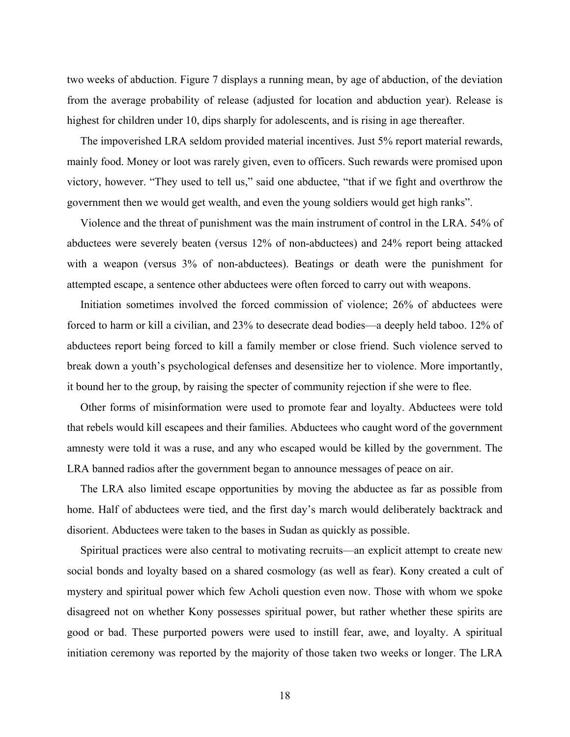two weeks of abduction. Figure 7 displays a running mean, by age of abduction, of the deviation from the average probability of release (adjusted for location and abduction year). Release is highest for children under 10, dips sharply for adolescents, and is rising in age thereafter.

The impoverished LRA seldom provided material incentives. Just 5% report material rewards, mainly food. Money or loot was rarely given, even to officers. Such rewards were promised upon victory, however. "They used to tell us," said one abductee, "that if we fight and overthrow the government then we would get wealth, and even the young soldiers would get high ranks".

Violence and the threat of punishment was the main instrument of control in the LRA. 54% of abductees were severely beaten (versus 12% of non-abductees) and 24% report being attacked with a weapon (versus 3% of non-abductees). Beatings or death were the punishment for attempted escape, a sentence other abductees were often forced to carry out with weapons.

Initiation sometimes involved the forced commission of violence; 26% of abductees were forced to harm or kill a civilian, and 23% to desecrate dead bodies—a deeply held taboo. 12% of abductees report being forced to kill a family member or close friend. Such violence served to break down a youth's psychological defenses and desensitize her to violence. More importantly, it bound her to the group, by raising the specter of community rejection if she were to flee.

Other forms of misinformation were used to promote fear and loyalty. Abductees were told that rebels would kill escapees and their families. Abductees who caught word of the government amnesty were told it was a ruse, and any who escaped would be killed by the government. The LRA banned radios after the government began to announce messages of peace on air.

The LRA also limited escape opportunities by moving the abductee as far as possible from home. Half of abductees were tied, and the first day's march would deliberately backtrack and disorient. Abductees were taken to the bases in Sudan as quickly as possible.

Spiritual practices were also central to motivating recruits—an explicit attempt to create new social bonds and loyalty based on a shared cosmology (as well as fear). Kony created a cult of mystery and spiritual power which few Acholi question even now. Those with whom we spoke disagreed not on whether Kony possesses spiritual power, but rather whether these spirits are good or bad. These purported powers were used to instill fear, awe, and loyalty. A spiritual initiation ceremony was reported by the majority of those taken two weeks or longer. The LRA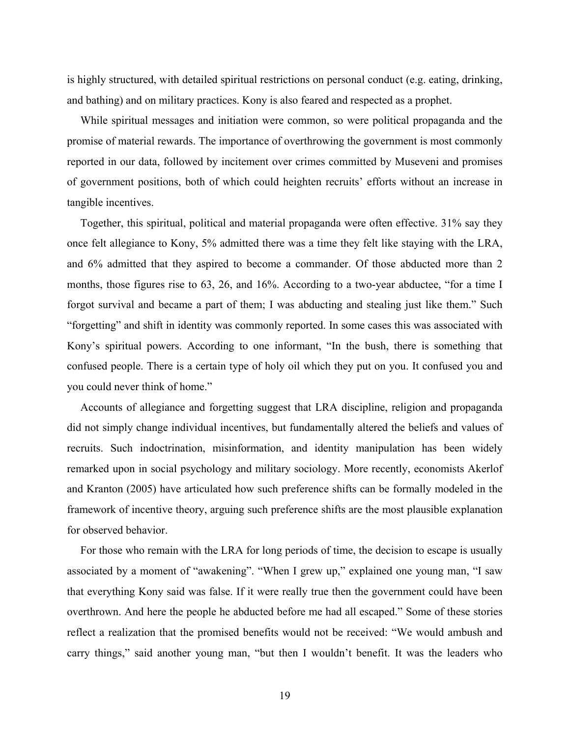is highly structured, with detailed spiritual restrictions on personal conduct (e.g. eating, drinking, and bathing) and on military practices. Kony is also feared and respected as a prophet.

While spiritual messages and initiation were common, so were political propaganda and the promise of material rewards. The importance of overthrowing the government is most commonly reported in our data, followed by incitement over crimes committed by Museveni and promises of government positions, both of which could heighten recruits' efforts without an increase in tangible incentives.

Together, this spiritual, political and material propaganda were often effective. 31% say they once felt allegiance to Kony, 5% admitted there was a time they felt like staying with the LRA, and 6% admitted that they aspired to become a commander. Of those abducted more than 2 months, those figures rise to 63, 26, and 16%. According to a two-year abductee, "for a time I forgot survival and became a part of them; I was abducting and stealing just like them." Such "forgetting" and shift in identity was commonly reported. In some cases this was associated with Kony's spiritual powers. According to one informant, "In the bush, there is something that confused people. There is a certain type of holy oil which they put on you. It confused you and you could never think of home."

Accounts of allegiance and forgetting suggest that LRA discipline, religion and propaganda did not simply change individual incentives, but fundamentally altered the beliefs and values of recruits. Such indoctrination, misinformation, and identity manipulation has been widely remarked upon in social psychology and military sociology. More recently, economists Akerlof and Kranton (2005) have articulated how such preference shifts can be formally modeled in the framework of incentive theory, arguing such preference shifts are the most plausible explanation for observed behavior.

For those who remain with the LRA for long periods of time, the decision to escape is usually associated by a moment of "awakening". "When I grew up," explained one young man, "I saw that everything Kony said was false. If it were really true then the government could have been overthrown. And here the people he abducted before me had all escaped." Some of these stories reflect a realization that the promised benefits would not be received: "We would ambush and carry things," said another young man, "but then I wouldn't benefit. It was the leaders who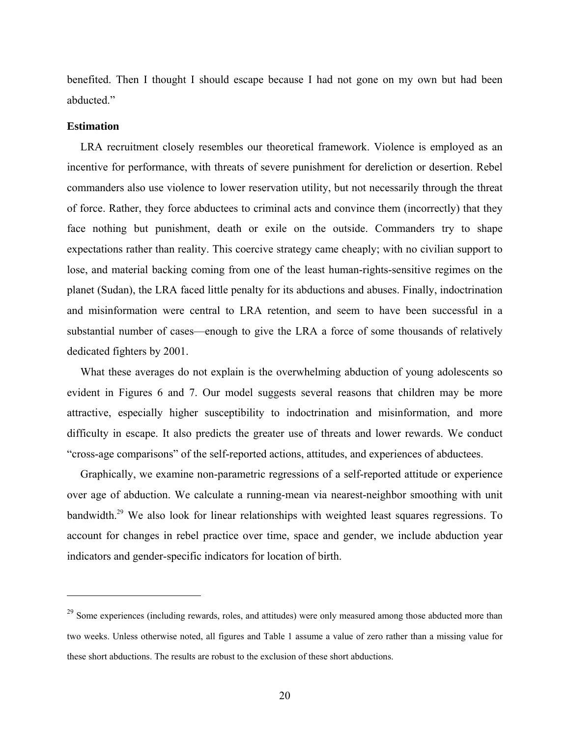benefited. Then I thought I should escape because I had not gone on my own but had been abducted."

## **Estimation**

1

LRA recruitment closely resembles our theoretical framework. Violence is employed as an incentive for performance, with threats of severe punishment for dereliction or desertion. Rebel commanders also use violence to lower reservation utility, but not necessarily through the threat of force. Rather, they force abductees to criminal acts and convince them (incorrectly) that they face nothing but punishment, death or exile on the outside. Commanders try to shape expectations rather than reality. This coercive strategy came cheaply; with no civilian support to lose, and material backing coming from one of the least human-rights-sensitive regimes on the planet (Sudan), the LRA faced little penalty for its abductions and abuses. Finally, indoctrination and misinformation were central to LRA retention, and seem to have been successful in a substantial number of cases—enough to give the LRA a force of some thousands of relatively dedicated fighters by 2001.

What these averages do not explain is the overwhelming abduction of young adolescents so evident in Figures 6 and 7. Our model suggests several reasons that children may be more attractive, especially higher susceptibility to indoctrination and misinformation, and more difficulty in escape. It also predicts the greater use of threats and lower rewards. We conduct "cross-age comparisons" of the self-reported actions, attitudes, and experiences of abductees.

Graphically, we examine non-parametric regressions of a self-reported attitude or experience over age of abduction. We calculate a running-mean via nearest-neighbor smoothing with unit bandwidth.<sup>29</sup> We also look for linear relationships with weighted least squares regressions. To account for changes in rebel practice over time, space and gender, we include abduction year indicators and gender-specific indicators for location of birth.

<sup>&</sup>lt;sup>29</sup> Some experiences (including rewards, roles, and attitudes) were only measured among those abducted more than two weeks. Unless otherwise noted, all figures and Table 1 assume a value of zero rather than a missing value for these short abductions. The results are robust to the exclusion of these short abductions.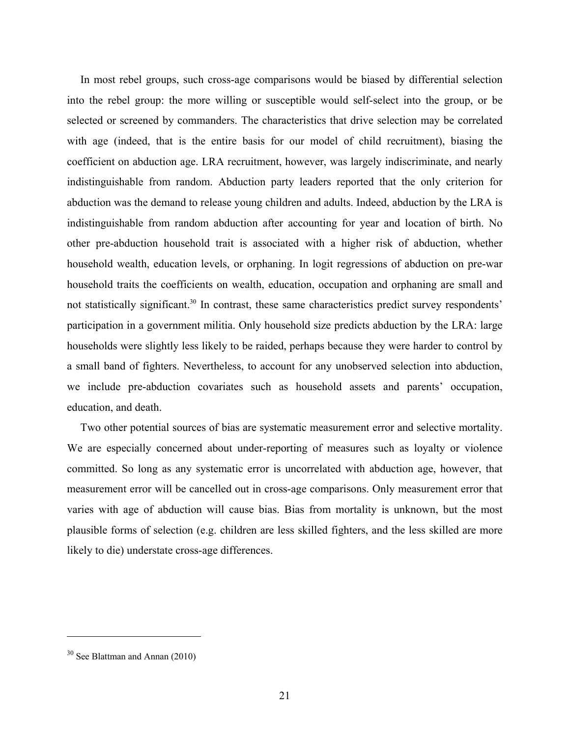In most rebel groups, such cross-age comparisons would be biased by differential selection into the rebel group: the more willing or susceptible would self-select into the group, or be selected or screened by commanders. The characteristics that drive selection may be correlated with age (indeed, that is the entire basis for our model of child recruitment), biasing the coefficient on abduction age. LRA recruitment, however, was largely indiscriminate, and nearly indistinguishable from random. Abduction party leaders reported that the only criterion for abduction was the demand to release young children and adults. Indeed, abduction by the LRA is indistinguishable from random abduction after accounting for year and location of birth. No other pre-abduction household trait is associated with a higher risk of abduction, whether household wealth, education levels, or orphaning. In logit regressions of abduction on pre-war household traits the coefficients on wealth, education, occupation and orphaning are small and not statistically significant.<sup>30</sup> In contrast, these same characteristics predict survey respondents' participation in a government militia. Only household size predicts abduction by the LRA: large households were slightly less likely to be raided, perhaps because they were harder to control by a small band of fighters. Nevertheless, to account for any unobserved selection into abduction, we include pre-abduction covariates such as household assets and parents' occupation, education, and death.

Two other potential sources of bias are systematic measurement error and selective mortality. We are especially concerned about under-reporting of measures such as loyalty or violence committed. So long as any systematic error is uncorrelated with abduction age, however, that measurement error will be cancelled out in cross-age comparisons. Only measurement error that varies with age of abduction will cause bias. Bias from mortality is unknown, but the most plausible forms of selection (e.g. children are less skilled fighters, and the less skilled are more likely to die) understate cross-age differences.

 $30$  See Blattman and Annan (2010)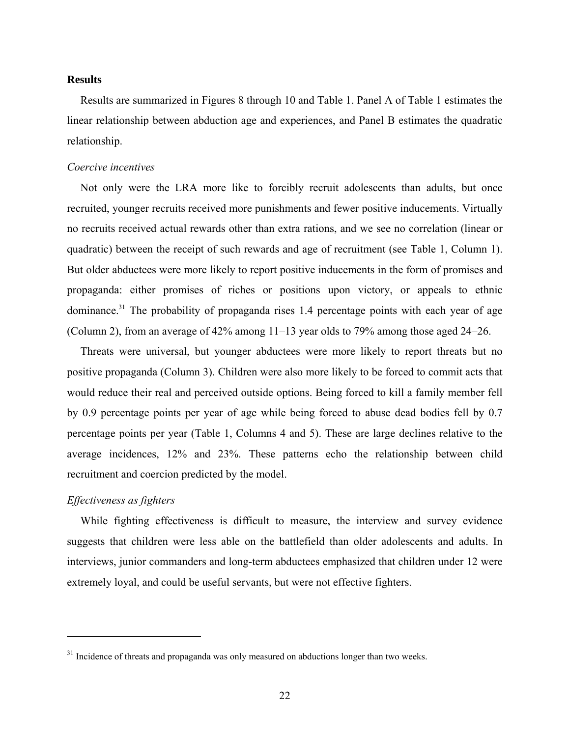## **Results**

Results are summarized in Figures 8 through 10 and Table 1. Panel A of Table 1 estimates the linear relationship between abduction age and experiences, and Panel B estimates the quadratic relationship.

### *Coercive incentives*

Not only were the LRA more like to forcibly recruit adolescents than adults, but once recruited, younger recruits received more punishments and fewer positive inducements. Virtually no recruits received actual rewards other than extra rations, and we see no correlation (linear or quadratic) between the receipt of such rewards and age of recruitment (see Table 1, Column 1). But older abductees were more likely to report positive inducements in the form of promises and propaganda: either promises of riches or positions upon victory, or appeals to ethnic dominance.<sup>31</sup> The probability of propaganda rises 1.4 percentage points with each year of age (Column 2), from an average of 42% among 11–13 year olds to 79% among those aged 24–26.

Threats were universal, but younger abductees were more likely to report threats but no positive propaganda (Column 3). Children were also more likely to be forced to commit acts that would reduce their real and perceived outside options. Being forced to kill a family member fell by 0.9 percentage points per year of age while being forced to abuse dead bodies fell by 0.7 percentage points per year (Table 1, Columns 4 and 5). These are large declines relative to the average incidences, 12% and 23%. These patterns echo the relationship between child recruitment and coercion predicted by the model.

## *Effectiveness as fighters*

 $\overline{a}$ 

While fighting effectiveness is difficult to measure, the interview and survey evidence suggests that children were less able on the battlefield than older adolescents and adults. In interviews, junior commanders and long-term abductees emphasized that children under 12 were extremely loyal, and could be useful servants, but were not effective fighters.

 $31$  Incidence of threats and propaganda was only measured on abductions longer than two weeks.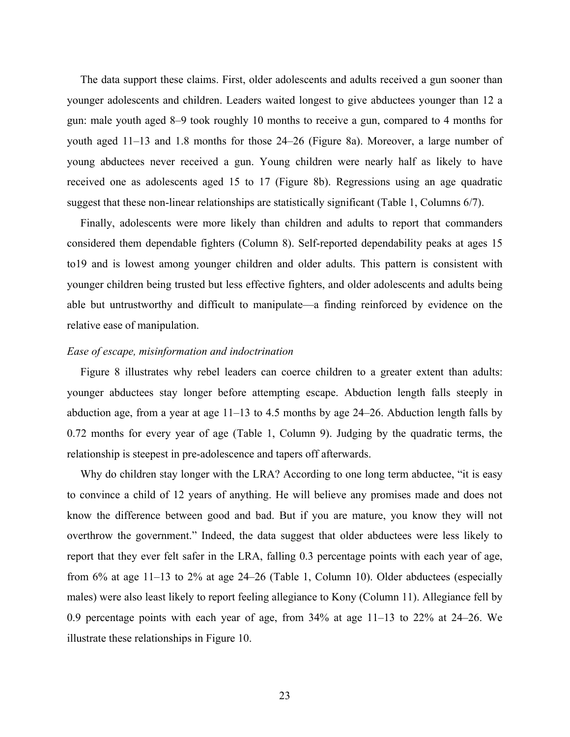The data support these claims. First, older adolescents and adults received a gun sooner than younger adolescents and children. Leaders waited longest to give abductees younger than 12 a gun: male youth aged 8–9 took roughly 10 months to receive a gun, compared to 4 months for youth aged 11–13 and 1.8 months for those 24–26 (Figure 8a). Moreover, a large number of young abductees never received a gun. Young children were nearly half as likely to have received one as adolescents aged 15 to 17 (Figure 8b). Regressions using an age quadratic suggest that these non-linear relationships are statistically significant (Table 1, Columns 6/7).

Finally, adolescents were more likely than children and adults to report that commanders considered them dependable fighters (Column 8). Self-reported dependability peaks at ages 15 to19 and is lowest among younger children and older adults. This pattern is consistent with younger children being trusted but less effective fighters, and older adolescents and adults being able but untrustworthy and difficult to manipulate—a finding reinforced by evidence on the relative ease of manipulation.

#### *Ease of escape, misinformation and indoctrination*

Figure 8 illustrates why rebel leaders can coerce children to a greater extent than adults: younger abductees stay longer before attempting escape. Abduction length falls steeply in abduction age, from a year at age 11–13 to 4.5 months by age 24–26. Abduction length falls by 0.72 months for every year of age (Table 1, Column 9). Judging by the quadratic terms, the relationship is steepest in pre-adolescence and tapers off afterwards.

Why do children stay longer with the LRA? According to one long term abductee, "it is easy to convince a child of 12 years of anything. He will believe any promises made and does not know the difference between good and bad. But if you are mature, you know they will not overthrow the government." Indeed, the data suggest that older abductees were less likely to report that they ever felt safer in the LRA, falling 0.3 percentage points with each year of age, from 6% at age 11–13 to 2% at age 24–26 (Table 1, Column 10). Older abductees (especially males) were also least likely to report feeling allegiance to Kony (Column 11). Allegiance fell by 0.9 percentage points with each year of age, from 34% at age 11–13 to 22% at 24–26. We illustrate these relationships in Figure 10.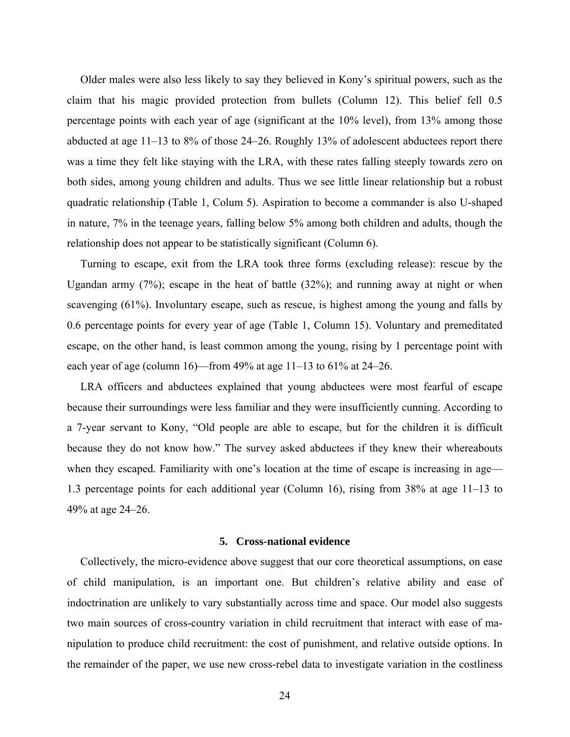Older males were also less likely to say they believed in Kony's spiritual powers, such as the claim that his magic provided protection from bullets (Column 12). This belief fell 0.5 percentage points with each year of age (significant at the 10% level), from 13% among those abducted at age 11–13 to 8% of those 24–26. Roughly 13% of adolescent abductees report there was a time they felt like staying with the LRA, with these rates falling steeply towards zero on both sides, among young children and adults. Thus we see little linear relationship but a robust quadratic relationship (Table 1, Colum 5). Aspiration to become a commander is also U-shaped in nature, 7% in the teenage years, falling below 5% among both children and adults, though the relationship does not appear to be statistically significant (Column 6).

Turning to escape, exit from the LRA took three forms (excluding release): rescue by the Ugandan army (7%); escape in the heat of battle (32%); and running away at night or when scavenging (61%). Involuntary escape, such as rescue, is highest among the young and falls by 0.6 percentage points for every year of age (Table 1, Column 15). Voluntary and premeditated escape, on the other hand, is least common among the young, rising by 1 percentage point with each year of age (column 16)—from 49% at age 11–13 to 61% at 24–26.

LRA officers and abductees explained that young abductees were most fearful of escape because their surroundings were less familiar and they were insufficiently cunning. According to a 7-year servant to Kony, "Old people are able to escape, but for the children it is difficult because they do not know how." The survey asked abductees if they knew their whereabouts when they escaped. Familiarity with one's location at the time of escape is increasing in age— 1.3 percentage points for each additional year (Column 16), rising from 38% at age 11–13 to 49% at age 24–26.

#### **5. Cross-national evidence**

Collectively, the micro-evidence above suggest that our core theoretical assumptions, on ease of child manipulation, is an important one. But children's relative ability and ease of indoctrination are unlikely to vary substantially across time and space. Our model also suggests two main sources of cross-country variation in child recruitment that interact with ease of manipulation to produce child recruitment: the cost of punishment, and relative outside options. In the remainder of the paper, we use new cross-rebel data to investigate variation in the costliness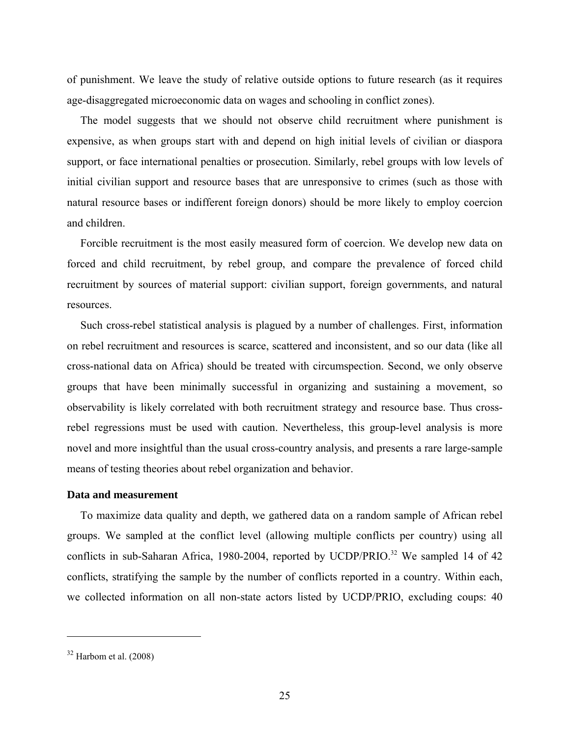of punishment. We leave the study of relative outside options to future research (as it requires age-disaggregated microeconomic data on wages and schooling in conflict zones).

The model suggests that we should not observe child recruitment where punishment is expensive, as when groups start with and depend on high initial levels of civilian or diaspora support, or face international penalties or prosecution. Similarly, rebel groups with low levels of initial civilian support and resource bases that are unresponsive to crimes (such as those with natural resource bases or indifferent foreign donors) should be more likely to employ coercion and children.

Forcible recruitment is the most easily measured form of coercion. We develop new data on forced and child recruitment, by rebel group, and compare the prevalence of forced child recruitment by sources of material support: civilian support, foreign governments, and natural resources.

Such cross-rebel statistical analysis is plagued by a number of challenges. First, information on rebel recruitment and resources is scarce, scattered and inconsistent, and so our data (like all cross-national data on Africa) should be treated with circumspection. Second, we only observe groups that have been minimally successful in organizing and sustaining a movement, so observability is likely correlated with both recruitment strategy and resource base. Thus crossrebel regressions must be used with caution. Nevertheless, this group-level analysis is more novel and more insightful than the usual cross-country analysis, and presents a rare large-sample means of testing theories about rebel organization and behavior.

### **Data and measurement**

To maximize data quality and depth, we gathered data on a random sample of African rebel groups. We sampled at the conflict level (allowing multiple conflicts per country) using all conflicts in sub-Saharan Africa, 1980-2004, reported by UCDP/PRIO.<sup>32</sup> We sampled 14 of 42 conflicts, stratifying the sample by the number of conflicts reported in a country. Within each, we collected information on all non-state actors listed by UCDP/PRIO, excluding coups: 40

 $32$  Harbom et al. (2008)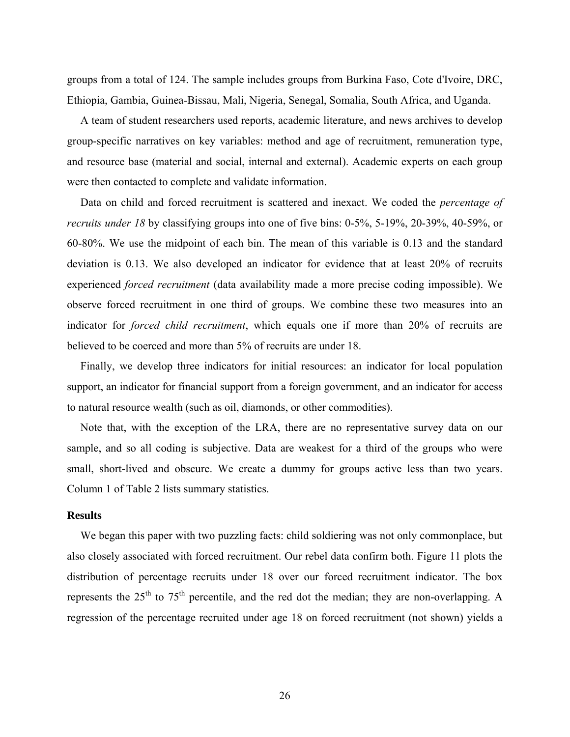groups from a total of 124. The sample includes groups from Burkina Faso, Cote d'Ivoire, DRC, Ethiopia, Gambia, Guinea-Bissau, Mali, Nigeria, Senegal, Somalia, South Africa, and Uganda.

A team of student researchers used reports, academic literature, and news archives to develop group-specific narratives on key variables: method and age of recruitment, remuneration type, and resource base (material and social, internal and external). Academic experts on each group were then contacted to complete and validate information.

Data on child and forced recruitment is scattered and inexact. We coded the *percentage of recruits under 18* by classifying groups into one of five bins: 0-5%, 5-19%, 20-39%, 40-59%, or 60-80%. We use the midpoint of each bin. The mean of this variable is 0.13 and the standard deviation is 0.13. We also developed an indicator for evidence that at least 20% of recruits experienced *forced recruitment* (data availability made a more precise coding impossible). We observe forced recruitment in one third of groups. We combine these two measures into an indicator for *forced child recruitment*, which equals one if more than 20% of recruits are believed to be coerced and more than 5% of recruits are under 18.

Finally, we develop three indicators for initial resources: an indicator for local population support, an indicator for financial support from a foreign government, and an indicator for access to natural resource wealth (such as oil, diamonds, or other commodities).

Note that, with the exception of the LRA, there are no representative survey data on our sample, and so all coding is subjective. Data are weakest for a third of the groups who were small, short-lived and obscure. We create a dummy for groups active less than two years. Column 1 of Table 2 lists summary statistics.

### **Results**

We began this paper with two puzzling facts: child soldiering was not only commonplace, but also closely associated with forced recruitment. Our rebel data confirm both. Figure 11 plots the distribution of percentage recruits under 18 over our forced recruitment indicator. The box represents the  $25<sup>th</sup>$  to  $75<sup>th</sup>$  percentile, and the red dot the median; they are non-overlapping. A regression of the percentage recruited under age 18 on forced recruitment (not shown) yields a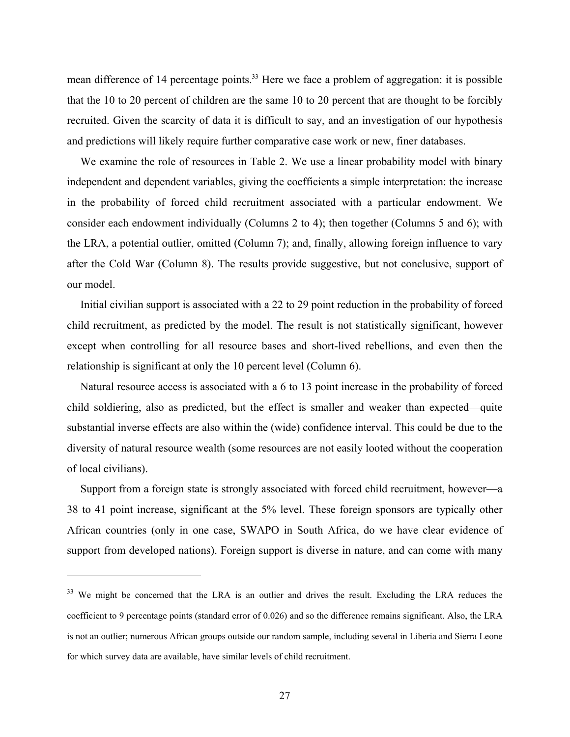mean difference of 14 percentage points.<sup>33</sup> Here we face a problem of aggregation: it is possible that the 10 to 20 percent of children are the same 10 to 20 percent that are thought to be forcibly recruited. Given the scarcity of data it is difficult to say, and an investigation of our hypothesis and predictions will likely require further comparative case work or new, finer databases.

We examine the role of resources in Table 2. We use a linear probability model with binary independent and dependent variables, giving the coefficients a simple interpretation: the increase in the probability of forced child recruitment associated with a particular endowment. We consider each endowment individually (Columns 2 to 4); then together (Columns 5 and 6); with the LRA, a potential outlier, omitted (Column 7); and, finally, allowing foreign influence to vary after the Cold War (Column 8). The results provide suggestive, but not conclusive, support of our model.

Initial civilian support is associated with a 22 to 29 point reduction in the probability of forced child recruitment, as predicted by the model. The result is not statistically significant, however except when controlling for all resource bases and short-lived rebellions, and even then the relationship is significant at only the 10 percent level (Column 6).

Natural resource access is associated with a 6 to 13 point increase in the probability of forced child soldiering, also as predicted, but the effect is smaller and weaker than expected—quite substantial inverse effects are also within the (wide) confidence interval. This could be due to the diversity of natural resource wealth (some resources are not easily looted without the cooperation of local civilians).

Support from a foreign state is strongly associated with forced child recruitment, however—a 38 to 41 point increase, significant at the 5% level. These foreign sponsors are typically other African countries (only in one case, SWAPO in South Africa, do we have clear evidence of support from developed nations). Foreign support is diverse in nature, and can come with many

<sup>&</sup>lt;sup>33</sup> We might be concerned that the LRA is an outlier and drives the result. Excluding the LRA reduces the coefficient to 9 percentage points (standard error of 0.026) and so the difference remains significant. Also, the LRA is not an outlier; numerous African groups outside our random sample, including several in Liberia and Sierra Leone for which survey data are available, have similar levels of child recruitment.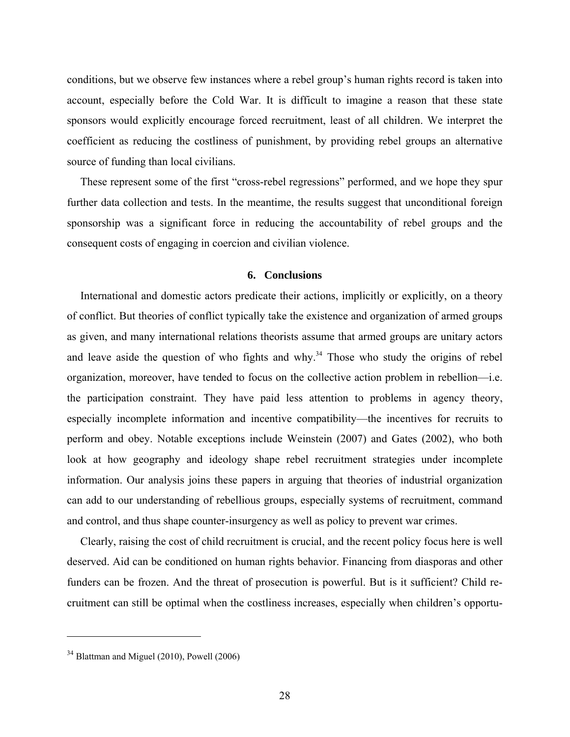conditions, but we observe few instances where a rebel group's human rights record is taken into account, especially before the Cold War. It is difficult to imagine a reason that these state sponsors would explicitly encourage forced recruitment, least of all children. We interpret the coefficient as reducing the costliness of punishment, by providing rebel groups an alternative source of funding than local civilians.

These represent some of the first "cross-rebel regressions" performed, and we hope they spur further data collection and tests. In the meantime, the results suggest that unconditional foreign sponsorship was a significant force in reducing the accountability of rebel groups and the consequent costs of engaging in coercion and civilian violence.

### **6. Conclusions**

International and domestic actors predicate their actions, implicitly or explicitly, on a theory of conflict. But theories of conflict typically take the existence and organization of armed groups as given, and many international relations theorists assume that armed groups are unitary actors and leave aside the question of who fights and why.<sup>34</sup> Those who study the origins of rebel organization, moreover, have tended to focus on the collective action problem in rebellion—i.e. the participation constraint. They have paid less attention to problems in agency theory, especially incomplete information and incentive compatibility—the incentives for recruits to perform and obey. Notable exceptions include Weinstein (2007) and Gates (2002), who both look at how geography and ideology shape rebel recruitment strategies under incomplete information. Our analysis joins these papers in arguing that theories of industrial organization can add to our understanding of rebellious groups, especially systems of recruitment, command and control, and thus shape counter-insurgency as well as policy to prevent war crimes.

Clearly, raising the cost of child recruitment is crucial, and the recent policy focus here is well deserved. Aid can be conditioned on human rights behavior. Financing from diasporas and other funders can be frozen. And the threat of prosecution is powerful. But is it sufficient? Child recruitment can still be optimal when the costliness increases, especially when children's opportu-

 $34$  Blattman and Miguel (2010), Powell (2006)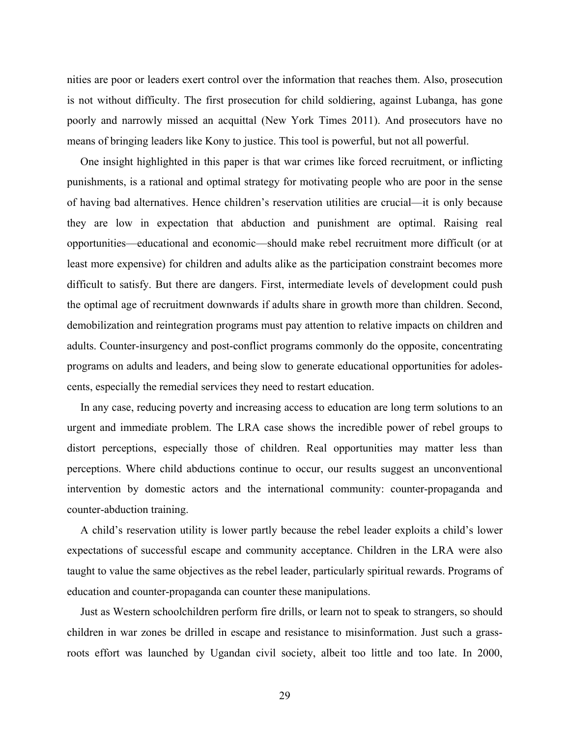nities are poor or leaders exert control over the information that reaches them. Also, prosecution is not without difficulty. The first prosecution for child soldiering, against Lubanga, has gone poorly and narrowly missed an acquittal (New York Times 2011). And prosecutors have no means of bringing leaders like Kony to justice. This tool is powerful, but not all powerful.

One insight highlighted in this paper is that war crimes like forced recruitment, or inflicting punishments, is a rational and optimal strategy for motivating people who are poor in the sense of having bad alternatives. Hence children's reservation utilities are crucial—it is only because they are low in expectation that abduction and punishment are optimal. Raising real opportunities—educational and economic—should make rebel recruitment more difficult (or at least more expensive) for children and adults alike as the participation constraint becomes more difficult to satisfy. But there are dangers. First, intermediate levels of development could push the optimal age of recruitment downwards if adults share in growth more than children. Second, demobilization and reintegration programs must pay attention to relative impacts on children and adults. Counter-insurgency and post-conflict programs commonly do the opposite, concentrating programs on adults and leaders, and being slow to generate educational opportunities for adolescents, especially the remedial services they need to restart education.

In any case, reducing poverty and increasing access to education are long term solutions to an urgent and immediate problem. The LRA case shows the incredible power of rebel groups to distort perceptions, especially those of children. Real opportunities may matter less than perceptions. Where child abductions continue to occur, our results suggest an unconventional intervention by domestic actors and the international community: counter-propaganda and counter-abduction training.

A child's reservation utility is lower partly because the rebel leader exploits a child's lower expectations of successful escape and community acceptance. Children in the LRA were also taught to value the same objectives as the rebel leader, particularly spiritual rewards. Programs of education and counter-propaganda can counter these manipulations.

Just as Western schoolchildren perform fire drills, or learn not to speak to strangers, so should children in war zones be drilled in escape and resistance to misinformation. Just such a grassroots effort was launched by Ugandan civil society, albeit too little and too late. In 2000,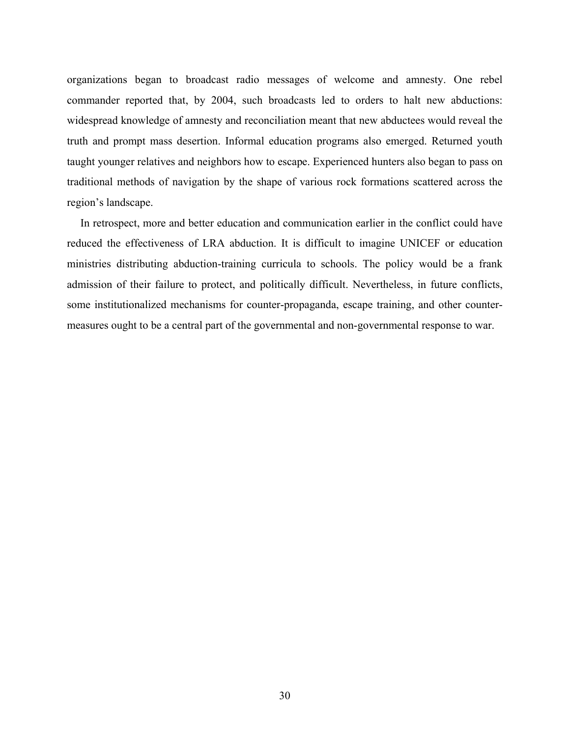organizations began to broadcast radio messages of welcome and amnesty. One rebel commander reported that, by 2004, such broadcasts led to orders to halt new abductions: widespread knowledge of amnesty and reconciliation meant that new abductees would reveal the truth and prompt mass desertion. Informal education programs also emerged. Returned youth taught younger relatives and neighbors how to escape. Experienced hunters also began to pass on traditional methods of navigation by the shape of various rock formations scattered across the region's landscape.

In retrospect, more and better education and communication earlier in the conflict could have reduced the effectiveness of LRA abduction. It is difficult to imagine UNICEF or education ministries distributing abduction-training curricula to schools. The policy would be a frank admission of their failure to protect, and politically difficult. Nevertheless, in future conflicts, some institutionalized mechanisms for counter-propaganda, escape training, and other countermeasures ought to be a central part of the governmental and non-governmental response to war.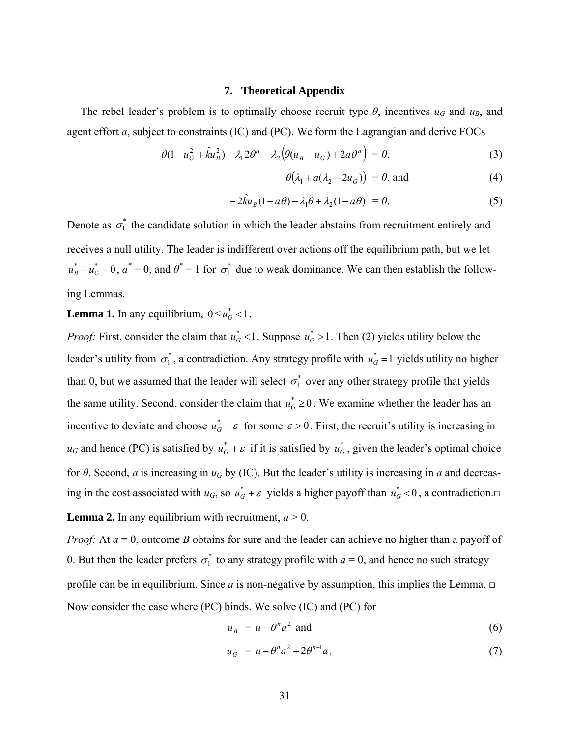### **7. Theoretical Appendix**

The rebel leader's problem is to optimally choose recruit type  $\theta$ , incentives  $u_G$  and  $u_B$ , and agent effort *a*, subject to constraints (IC) and (PC). We form the Lagrangian and derive FOCs

$$
\theta(1 - u_G^2 + \hat{k}u_B^2) - \lambda_1 2\theta^n - \lambda_2 \Big(\theta(u_B - u_G) + 2a\theta^n\Big) = 0,
$$
\n(3)

$$
\theta(\lambda_1 + a(\lambda_2 - 2u_G)) = 0, \text{ and } (4)
$$

$$
-2\hat{k}u_B(1-a\theta) - \lambda_1\theta + \lambda_2(1-a\theta) = 0.
$$
 (5)

Denote as  $\sigma_1^*$  the candidate solution in which the leader abstains from recruitment entirely and receives a null utility. The leader is indifferent over actions off the equilibrium path, but we let  $u_B^* = u_G^* = 0$ ,  $a^* = 0$ , and  $\theta^* = 1$  for  $\sigma_1^*$  due to weak dominance. We can then establish the following Lemmas.

## **Lemma 1.** In any equilibrium,  $0 \le u_G^* < 1$ .

*Proof:* First, consider the claim that  $u_G^*$  < 1. Suppose  $u_G^*$  > 1. Then (2) yields utility below the leader's utility from  $\sigma_1^*$ , a contradiction. Any strategy profile with  $u_G^* = 1$  yields utility no higher than 0, but we assumed that the leader will select  $\sigma_1^*$  over any other strategy profile that yields the same utility. Second, consider the claim that  $u_G^* \ge 0$ . We examine whether the leader has an incentive to deviate and choose  $u_{\sigma}^* + \varepsilon$  for some  $\varepsilon > 0$ . First, the recruit's utility is increasing in  $u_G$  and hence (PC) is satisfied by  $u_G^* + \varepsilon$  if it is satisfied by  $u_G^*$ , given the leader's optimal choice for  $\theta$ . Second, *a* is increasing in  $u_G$  by (IC). But the leader's utility is increasing in *a* and decreasing in the cost associated with  $u_G$ , so  $u_G^* + \varepsilon$  yields a higher payoff than  $u_G^* < 0$ , a contradiction. $\Box$ **Lemma 2.** In any equilibrium with recruitment,  $a > 0$ .

*Proof:* At  $a = 0$ , outcome *B* obtains for sure and the leader can achieve no higher than a payoff of 0. But then the leader prefers  $\sigma_1^*$  to any strategy profile with  $a = 0$ , and hence no such strategy profile can be in equilibrium. Since  $a$  is non-negative by assumption, this implies the Lemma.  $\Box$ Now consider the case where (PC) binds. We solve (IC) and (PC) for

$$
u_B = \underline{u} - \theta^n a^2 \text{ and } \tag{6}
$$

$$
u_G = \underline{u} - \theta^n a^2 + 2\theta^{n-1} a,\tag{7}
$$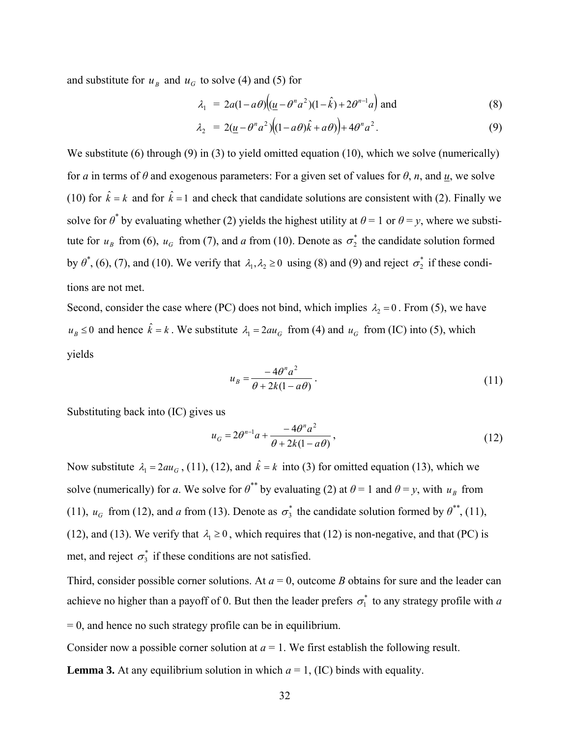and substitute for  $u_B$  and  $u_G$  to solve (4) and (5) for

$$
\lambda_1 = 2a(1 - a\theta)\left((\underline{u} - \theta^n a^2)(1 - \hat{k}) + 2\theta^{n-1}a\right) \text{ and } \tag{8}
$$

$$
\lambda_2 = 2(\underline{u} - \theta^n a^2) \Big( (1 - a\theta)\hat{k} + a\theta \Big) + 4\theta^n a^2. \tag{9}
$$

We substitute (6) through (9) in (3) to yield omitted equation (10), which we solve (numerically) for *a* in terms of  $\theta$  and exogenous parameters: For a given set of values for  $\theta$ , *n*, and <u>*u*</u>, we solve (10) for  $\hat{k} = k$  and for  $\hat{k} = 1$  and check that candidate solutions are consistent with (2). Finally we solve for  $\theta^*$  by evaluating whether (2) yields the highest utility at  $\theta = 1$  or  $\theta = y$ , where we substitute for  $u_B$  from (6),  $u_G$  from (7), and *a* from (10). Denote as  $\sigma_2^*$  the candidate solution formed by  $\theta^*$ , (6), (7), and (10). We verify that  $\lambda_1, \lambda_2 \ge 0$  using (8) and (9) and reject  $\sigma_2^*$  if these conditions are not met.

Second, consider the case where (PC) does not bind, which implies  $\lambda_2 = 0$ . From (5), we have  $u_B \le 0$  and hence  $\hat{k} = k$ . We substitute  $\lambda_1 = 2au_G$  from (4) and  $u_G$  from (IC) into (5), which yields

$$
u_B = \frac{-4\theta^n a^2}{\theta + 2k(1 - a\theta)}.
$$
\n(11)

Substituting back into (IC) gives us

$$
u_G = 2\theta^{n-1}a + \frac{-4\theta^n a^2}{\theta + 2k(1 - a\theta)},
$$
\n(12)

Now substitute  $\lambda_1 = 2au_G$ , (11), (12), and  $\hat{k} = k$  into (3) for omitted equation (13), which we solve (numerically) for *a*. We solve for  $\theta^{**}$  by evaluating (2) at  $\theta = 1$  and  $\theta = y$ , with  $u_B$  from (11),  $u_G$  from (12), and *a* from (13). Denote as  $\sigma_3^*$  the candidate solution formed by  $\theta^{**}$ , (11), (12), and (13). We verify that  $\lambda_1 \ge 0$ , which requires that (12) is non-negative, and that (PC) is met, and reject  $\sigma_3^*$  if these conditions are not satisfied.

Third, consider possible corner solutions. At  $a = 0$ , outcome *B* obtains for sure and the leader can achieve no higher than a payoff of 0. But then the leader prefers  $\sigma_1^*$  to any strategy profile with *a*  $= 0$ , and hence no such strategy profile can be in equilibrium.

Consider now a possible corner solution at  $a = 1$ . We first establish the following result.

**Lemma 3.** At any equilibrium solution in which  $a = 1$ , (IC) binds with equality.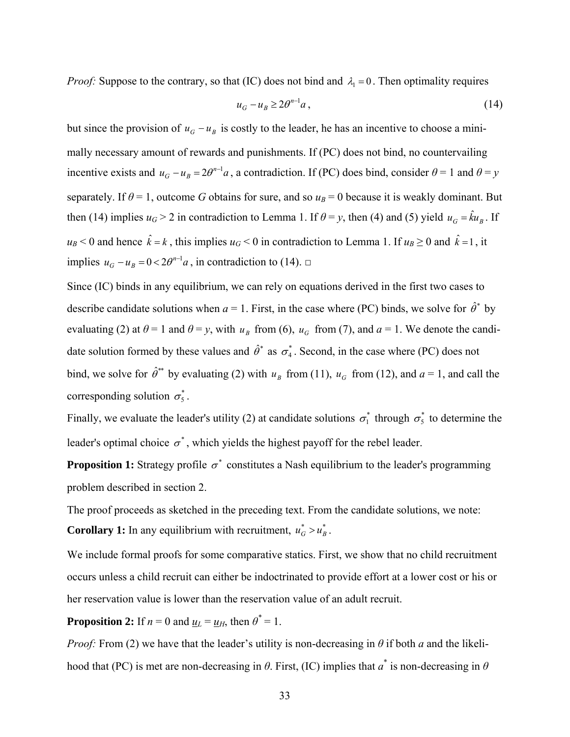*Proof:* Suppose to the contrary, so that (IC) does not bind and  $\lambda_1 = 0$ . Then optimality requires

$$
u_G - u_B \ge 2\theta^{n-1}a\,,\tag{14}
$$

but since the provision of  $u_G - u_B$  is costly to the leader, he has an incentive to choose a minimally necessary amount of rewards and punishments. If (PC) does not bind, no countervailing incentive exists and  $u_G - u_B = 2\theta^{n-1}a$ , a contradiction. If (PC) does bind, consider  $\theta = 1$  and  $\theta = y$ separately. If  $\theta = 1$ , outcome *G* obtains for sure, and so  $u_B = 0$  because it is weakly dominant. But then (14) implies  $u_G > 2$  in contradiction to Lemma 1. If  $\theta = y$ , then (4) and (5) yield  $u_G = \hat{ku}_B$ . If  $u_B$  < 0 and hence  $\hat{k} = k$ , this implies  $u_G$  < 0 in contradiction to Lemma 1. If  $u_B \ge 0$  and  $\hat{k} = 1$ , it implies  $u_G - u_B = 0 < 2\theta^{n-1}a$ , in contradiction to (14).  $\Box$ 

Since (IC) binds in any equilibrium, we can rely on equations derived in the first two cases to describe candidate solutions when  $a = 1$ . First, in the case where (PC) binds, we solve for  $\hat{\theta}^*$  by evaluating (2) at  $\theta = 1$  and  $\theta = y$ , with  $u_B$  from (6),  $u_G$  from (7), and  $a = 1$ . We denote the candidate solution formed by these values and  $\hat{\theta}^*$  as  $\sigma_4^*$ . Second, in the case where (PC) does not bind, we solve for  $\hat{\theta}^*$  by evaluating (2) with  $u_B$  from (11),  $u_G$  from (12), and  $a = 1$ , and call the corresponding solution  $\sigma_s^*$ .

Finally, we evaluate the leader's utility (2) at candidate solutions  $\sigma_1^*$  through  $\sigma_5^*$  to determine the leader's optimal choice  $\sigma^*$ , which yields the highest payoff for the rebel leader.

**Proposition 1:** Strategy profile  $\sigma^*$  constitutes a Nash equilibrium to the leader's programming problem described in section 2.

The proof proceeds as sketched in the preceding text. From the candidate solutions, we note: **Corollary 1:** In any equilibrium with recruitment,  $u_G^* > u_B^*$ .

We include formal proofs for some comparative statics. First, we show that no child recruitment occurs unless a child recruit can either be indoctrinated to provide effort at a lower cost or his or her reservation value is lower than the reservation value of an adult recruit.

**Proposition 2:** If  $n = 0$  and  $\underline{u}_L = \underline{u}_H$ , then  $\theta^* = 1$ .

*Proof:* From (2) we have that the leader's utility is non-decreasing in  $\theta$  if both *a* and the likelihood that (PC) is met are non-decreasing in  $\theta$ . First, (IC) implies that  $a^*$  is non-decreasing in  $\theta$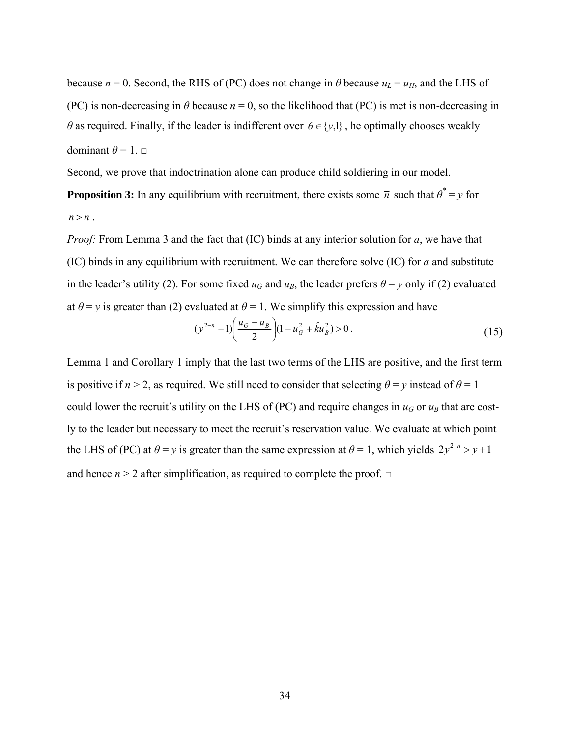because  $n = 0$ . Second, the RHS of (PC) does not change in  $\theta$  because  $u_L = u_H$ , and the LHS of (PC) is non-decreasing in  $\theta$  because  $n = 0$ , so the likelihood that (PC) is met is non-decreasing in *θ* as required. Finally, if the leader is indifferent over  $\theta \in \{y,1\}$ , he optimally chooses weakly dominant  $\theta = 1$ .  $\Box$ 

Second, we prove that indoctrination alone can produce child soldiering in our model.

**Proposition 3:** In any equilibrium with recruitment, there exists some  $\bar{n}$  such that  $\theta^* = y$  for  $n > \overline{n}$ .

*Proof:* From Lemma 3 and the fact that (IC) binds at any interior solution for *a*, we have that (IC) binds in any equilibrium with recruitment. We can therefore solve (IC) for *a* and substitute in the leader's utility (2). For some fixed  $u_G$  and  $u_B$ , the leader prefers  $\theta = y$  only if (2) evaluated at  $\theta = y$  is greater than (2) evaluated at  $\theta = 1$ . We simplify this expression and have

$$
(y^{2-n}-1)\left(\frac{u_G - u_B}{2}\right)(1 - u_G^2 + \hat{k}u_B^2) > 0.
$$
\n(15)

Lemma 1 and Corollary 1 imply that the last two terms of the LHS are positive, and the first term is positive if  $n > 2$ , as required. We still need to consider that selecting  $\theta = v$  instead of  $\theta = 1$ could lower the recruit's utility on the LHS of (PC) and require changes in  $u_G$  or  $u_B$  that are costly to the leader but necessary to meet the recruit's reservation value. We evaluate at which point the LHS of (PC) at  $\theta = y$  is greater than the same expression at  $\theta = 1$ , which yields  $2y^{2-n} > y + 1$ and hence  $n > 2$  after simplification, as required to complete the proof.  $\Box$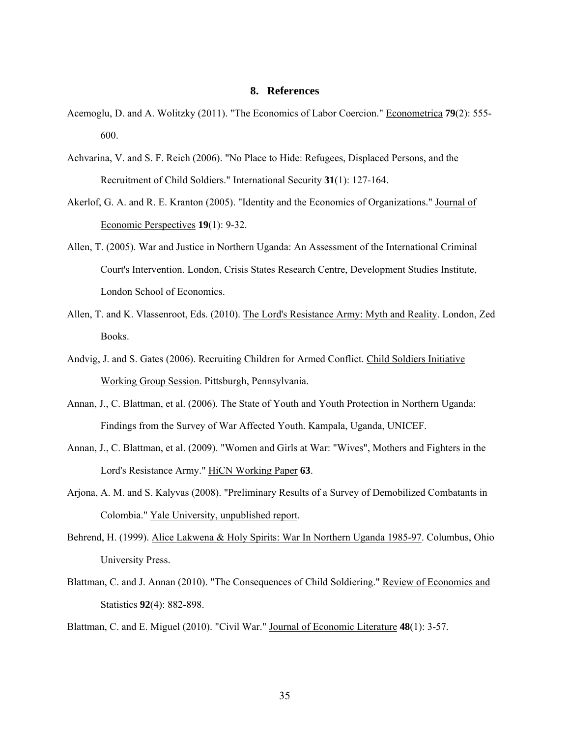### **8. References**

- Acemoglu, D. and A. Wolitzky (2011). "The Economics of Labor Coercion." Econometrica **79**(2): 555- 600.
- Achvarina, V. and S. F. Reich (2006). "No Place to Hide: Refugees, Displaced Persons, and the Recruitment of Child Soldiers." International Security **31**(1): 127-164.
- Akerlof, G. A. and R. E. Kranton (2005). "Identity and the Economics of Organizations." Journal of Economic Perspectives **19**(1): 9-32.
- Allen, T. (2005). War and Justice in Northern Uganda: An Assessment of the International Criminal Court's Intervention. London, Crisis States Research Centre, Development Studies Institute, London School of Economics.
- Allen, T. and K. Vlassenroot, Eds. (2010). The Lord's Resistance Army: Myth and Reality. London, Zed Books.
- Andvig, J. and S. Gates (2006). Recruiting Children for Armed Conflict. Child Soldiers Initiative Working Group Session. Pittsburgh, Pennsylvania.
- Annan, J., C. Blattman, et al. (2006). The State of Youth and Youth Protection in Northern Uganda: Findings from the Survey of War Affected Youth. Kampala, Uganda, UNICEF.
- Annan, J., C. Blattman, et al. (2009). "Women and Girls at War: "Wives", Mothers and Fighters in the Lord's Resistance Army." HiCN Working Paper **63**.
- Arjona, A. M. and S. Kalyvas (2008). "Preliminary Results of a Survey of Demobilized Combatants in Colombia." Yale University, unpublished report.
- Behrend, H. (1999). Alice Lakwena & Holy Spirits: War In Northern Uganda 1985-97. Columbus, Ohio University Press.
- Blattman, C. and J. Annan (2010). "The Consequences of Child Soldiering." Review of Economics and Statistics **92**(4): 882-898.

Blattman, C. and E. Miguel (2010). "Civil War." Journal of Economic Literature **48**(1): 3-57.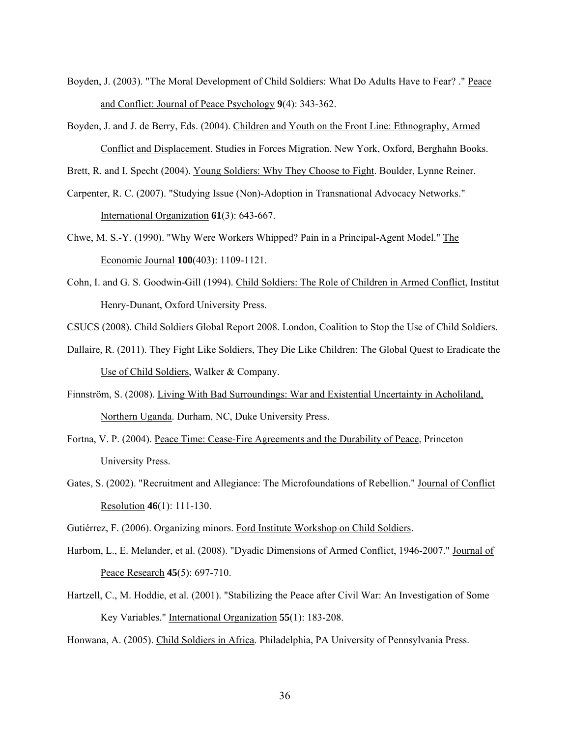- Boyden, J. (2003). "The Moral Development of Child Soldiers: What Do Adults Have to Fear? ." Peace and Conflict: Journal of Peace Psychology **9**(4): 343-362.
- Boyden, J. and J. de Berry, Eds. (2004). Children and Youth on the Front Line: Ethnography, Armed Conflict and Displacement. Studies in Forces Migration. New York, Oxford, Berghahn Books.

Brett, R. and I. Specht (2004). Young Soldiers: Why They Choose to Fight. Boulder, Lynne Reiner.

- Carpenter, R. C. (2007). "Studying Issue (Non)-Adoption in Transnational Advocacy Networks." International Organization **61**(3): 643-667.
- Chwe, M. S.-Y. (1990). "Why Were Workers Whipped? Pain in a Principal-Agent Model." The Economic Journal **100**(403): 1109-1121.
- Cohn, I. and G. S. Goodwin-Gill (1994). Child Soldiers: The Role of Children in Armed Conflict, Institut Henry-Dunant, Oxford University Press.

CSUCS (2008). Child Soldiers Global Report 2008. London, Coalition to Stop the Use of Child Soldiers.

- Dallaire, R. (2011). They Fight Like Soldiers, They Die Like Children: The Global Quest to Eradicate the Use of Child Soldiers, Walker & Company.
- Finnström, S. (2008). Living With Bad Surroundings: War and Existential Uncertainty in Acholiland, Northern Uganda. Durham, NC, Duke University Press.
- Fortna, V. P. (2004). Peace Time: Cease-Fire Agreements and the Durability of Peace, Princeton University Press.
- Gates, S. (2002). "Recruitment and Allegiance: The Microfoundations of Rebellion." Journal of Conflict Resolution **46**(1): 111-130.
- Gutiérrez, F. (2006). Organizing minors. Ford Institute Workshop on Child Soldiers.
- Harbom, L., E. Melander, et al. (2008). "Dyadic Dimensions of Armed Conflict, 1946-2007." Journal of Peace Research **45**(5): 697-710.
- Hartzell, C., M. Hoddie, et al. (2001). "Stabilizing the Peace after Civil War: An Investigation of Some Key Variables." International Organization **55**(1): 183-208.

Honwana, A. (2005). Child Soldiers in Africa. Philadelphia, PA University of Pennsylvania Press.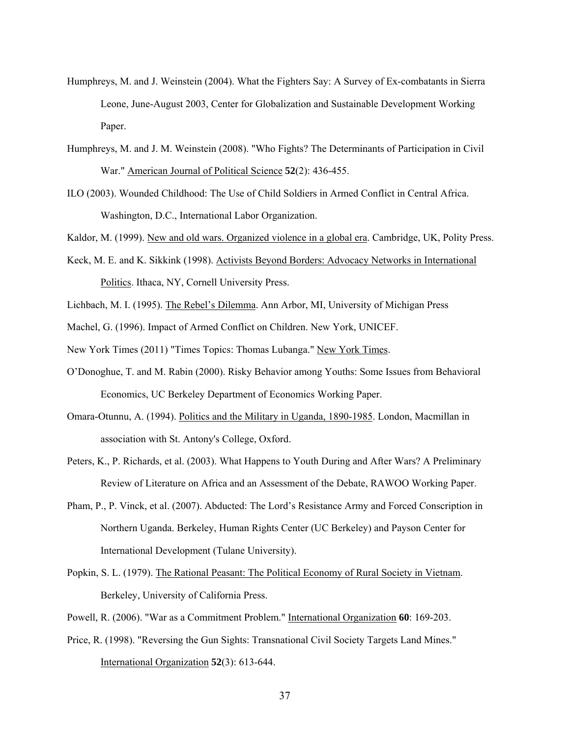- Humphreys, M. and J. Weinstein (2004). What the Fighters Say: A Survey of Ex-combatants in Sierra Leone, June-August 2003, Center for Globalization and Sustainable Development Working Paper.
- Humphreys, M. and J. M. Weinstein (2008). "Who Fights? The Determinants of Participation in Civil War." American Journal of Political Science **52**(2): 436-455.
- ILO (2003). Wounded Childhood: The Use of Child Soldiers in Armed Conflict in Central Africa. Washington, D.C., International Labor Organization.

Kaldor, M. (1999). New and old wars. Organized violence in a global era. Cambridge, UK, Polity Press.

- Keck, M. E. and K. Sikkink (1998). Activists Beyond Borders: Advocacy Networks in International Politics. Ithaca, NY, Cornell University Press.
- Lichbach, M. I. (1995). The Rebel's Dilemma. Ann Arbor, MI, University of Michigan Press
- Machel, G. (1996). Impact of Armed Conflict on Children. New York, UNICEF.

New York Times (2011) "Times Topics: Thomas Lubanga." New York Times.

- O'Donoghue, T. and M. Rabin (2000). Risky Behavior among Youths: Some Issues from Behavioral Economics, UC Berkeley Department of Economics Working Paper.
- Omara-Otunnu, A. (1994). Politics and the Military in Uganda, 1890-1985. London, Macmillan in association with St. Antony's College, Oxford.
- Peters, K., P. Richards, et al. (2003). What Happens to Youth During and After Wars? A Preliminary Review of Literature on Africa and an Assessment of the Debate, RAWOO Working Paper.
- Pham, P., P. Vinck, et al. (2007). Abducted: The Lord's Resistance Army and Forced Conscription in Northern Uganda. Berkeley, Human Rights Center (UC Berkeley) and Payson Center for International Development (Tulane University).
- Popkin, S. L. (1979). The Rational Peasant: The Political Economy of Rural Society in Vietnam. Berkeley, University of California Press.
- Powell, R. (2006). "War as a Commitment Problem." International Organization **60**: 169-203.
- Price, R. (1998). "Reversing the Gun Sights: Transnational Civil Society Targets Land Mines." International Organization **52**(3): 613-644.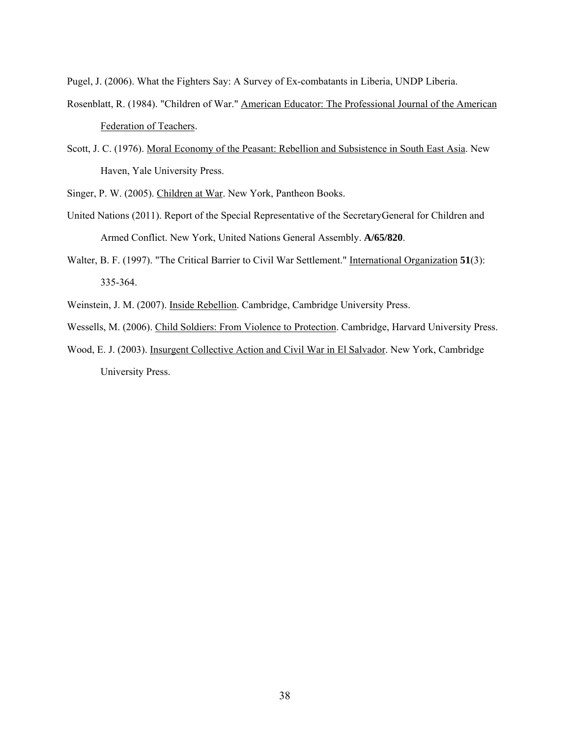Pugel, J. (2006). What the Fighters Say: A Survey of Ex-combatants in Liberia, UNDP Liberia.

- Rosenblatt, R. (1984). "Children of War." American Educator: The Professional Journal of the American Federation of Teachers.
- Scott, J. C. (1976). Moral Economy of the Peasant: Rebellion and Subsistence in South East Asia. New Haven, Yale University Press.
- Singer, P. W. (2005). Children at War. New York, Pantheon Books.
- United Nations (2011). Report of the Special Representative of the SecretaryGeneral for Children and Armed Conflict. New York, United Nations General Assembly. **A/65/820**.
- Walter, B. F. (1997). "The Critical Barrier to Civil War Settlement." International Organization **51**(3): 335-364.
- Weinstein, J. M. (2007). Inside Rebellion. Cambridge, Cambridge University Press.

Wessells, M. (2006). Child Soldiers: From Violence to Protection. Cambridge, Harvard University Press.

Wood, E. J. (2003). Insurgent Collective Action and Civil War in El Salvador. New York, Cambridge University Press.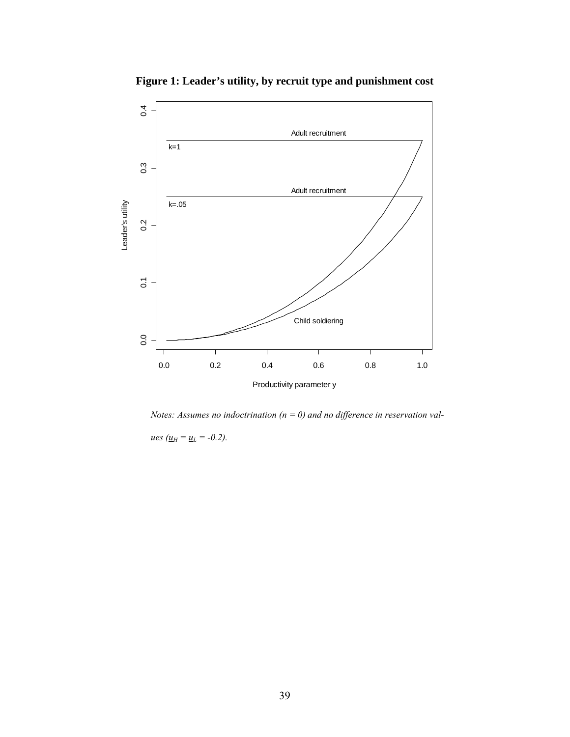

**Figure 1: Leader's utility, by recruit type and punishment cost** 

*Notes: Assumes no indoctrination (n = 0) and no difference in reservation val-*

*ues* ( $\mu_H = \mu_L = -0.2$ ).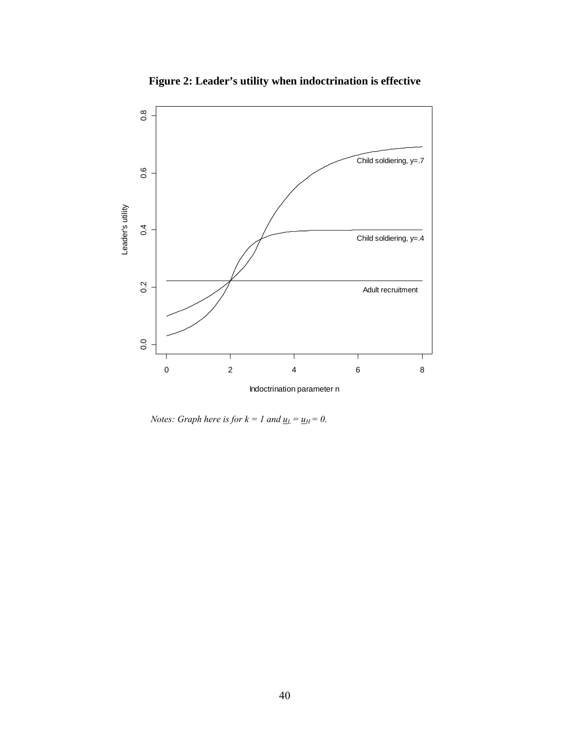

**Figure 2: Leader's utility when indoctrination is effective** 

*Notes: Graph here is for*  $k = 1$  *and*  $\underline{u}_L = \underline{u}_H = 0$ *.*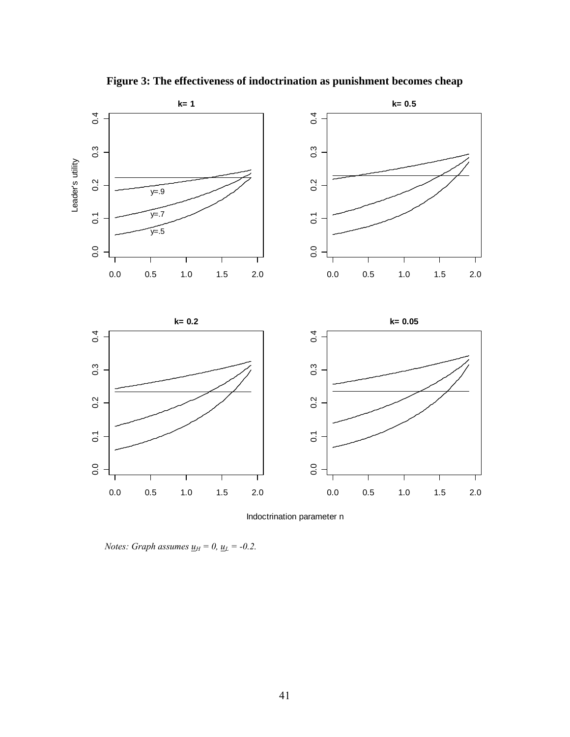

**Figure 3: The effectiveness of indoctrination as punishment becomes cheap** 

Indoctrination parameter n

*Notes: Graph assumes*  $\underline{u}_H = 0$ ,  $\underline{u}_L = -0.2$ .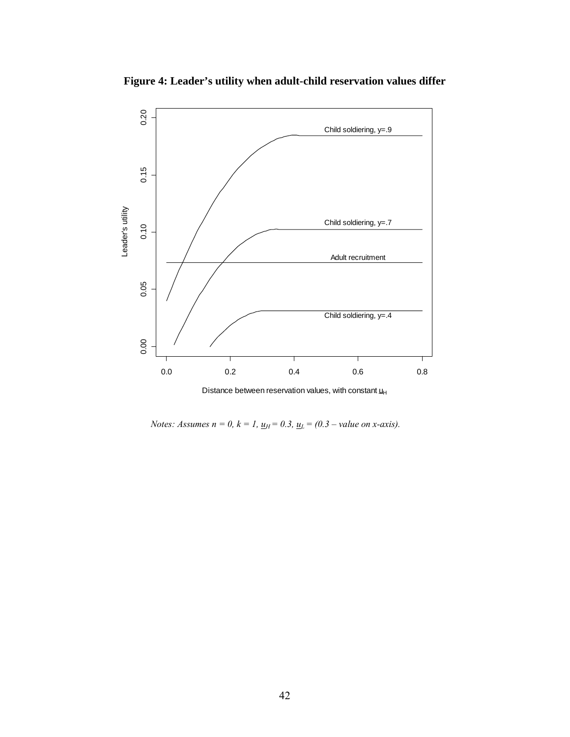

**Figure 4: Leader's utility when adult-child reservation values differ** 

*Notes: Assumes n = 0, k = 1,*  $\underline{u}_H = 0.3$ *,*  $\underline{u}_L = (0.3 - \text{value on } x\text{-axis}).$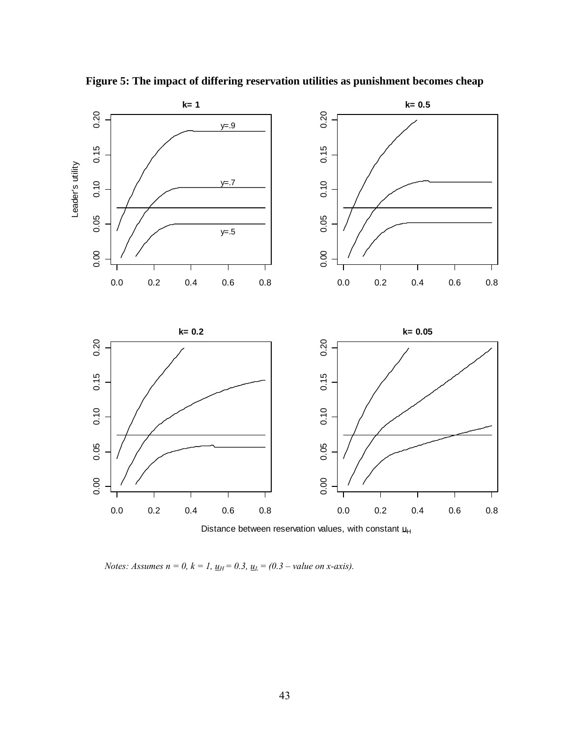

**Figure 5: The impact of differing reservation utilities as punishment becomes cheap** 

*Notes: Assumes n = 0, k = 1,*  $\underline{u}_H = 0.3$ *,*  $\underline{u}_L = (0.3 - \text{value on } x\text{-axis}).$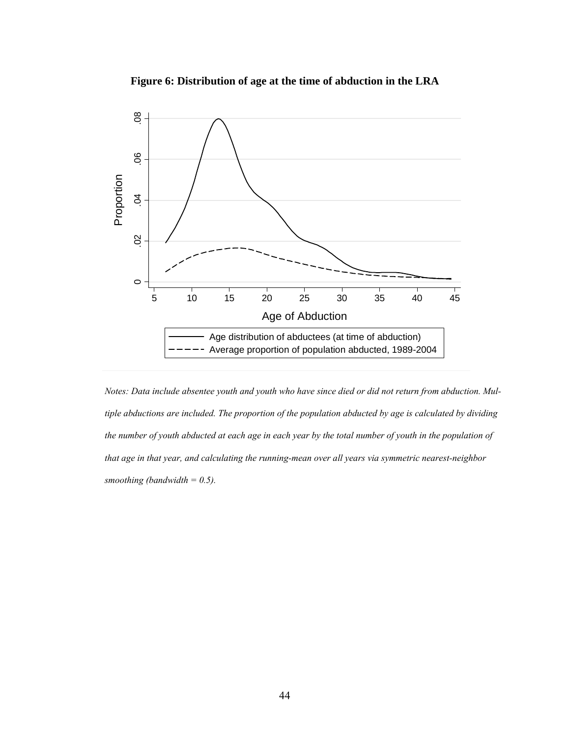



*Notes: Data include absentee youth and youth who have since died or did not return from abduction. Multiple abductions are included. The proportion of the population abducted by age is calculated by dividing the number of youth abducted at each age in each year by the total number of youth in the population of that age in that year, and calculating the running-mean over all years via symmetric nearest-neighbor smoothing (bandwidth = 0.5).*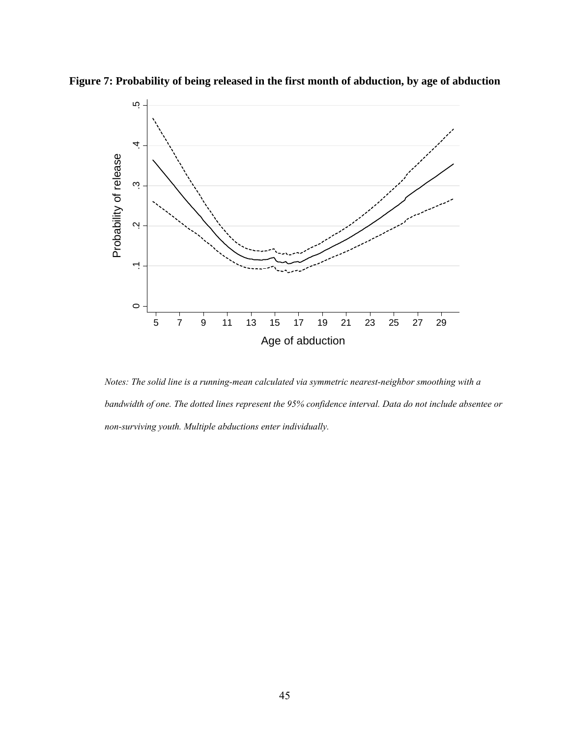

**Figure 7: Probability of being released in the first month of abduction, by age of abduction** 

*Notes: The solid line is a running-mean calculated via symmetric nearest-neighbor smoothing with a bandwidth of one. The dotted lines represent the 95% confidence interval. Data do not include absentee or non-surviving youth. Multiple abductions enter individually.*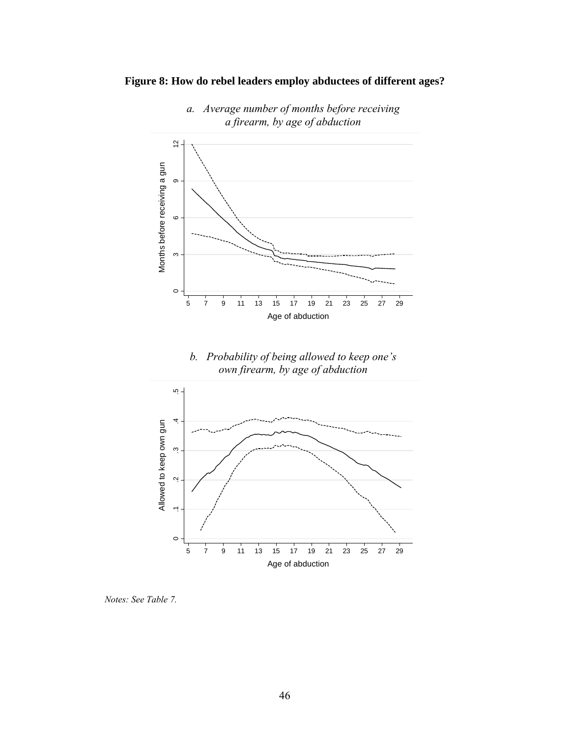## **Figure 8: How do rebel leaders employ abductees of different ages?**



*a. Average number of months before receiving a firearm, by age of abduction* 





*Notes: See Table 7.*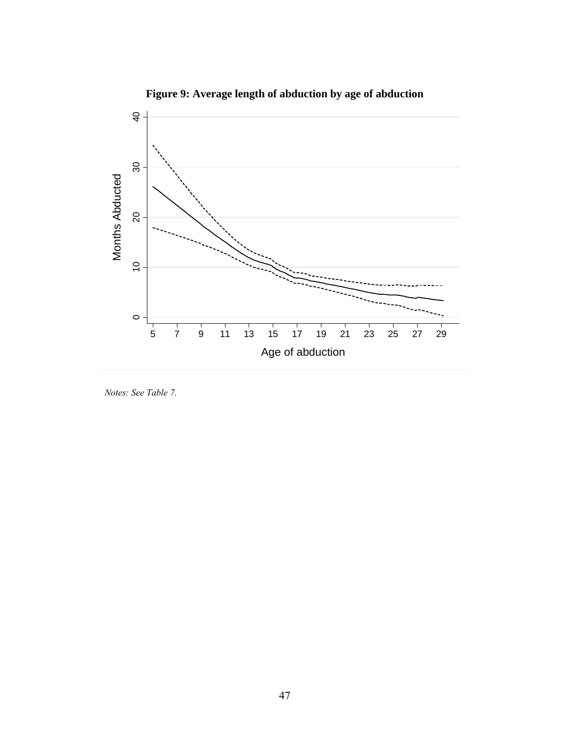

**Figure 9: Average length of abduction by age of abduction** 

*Notes: See Table 7.*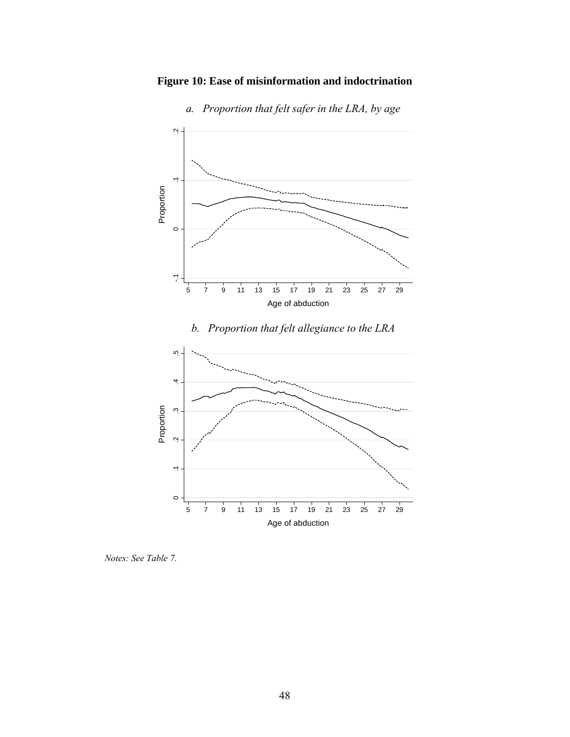



*a. Proportion that felt safer in the LRA, by age* 

## *b. Proportion that felt allegiance to the LRA*



*Notes: See Table 7.*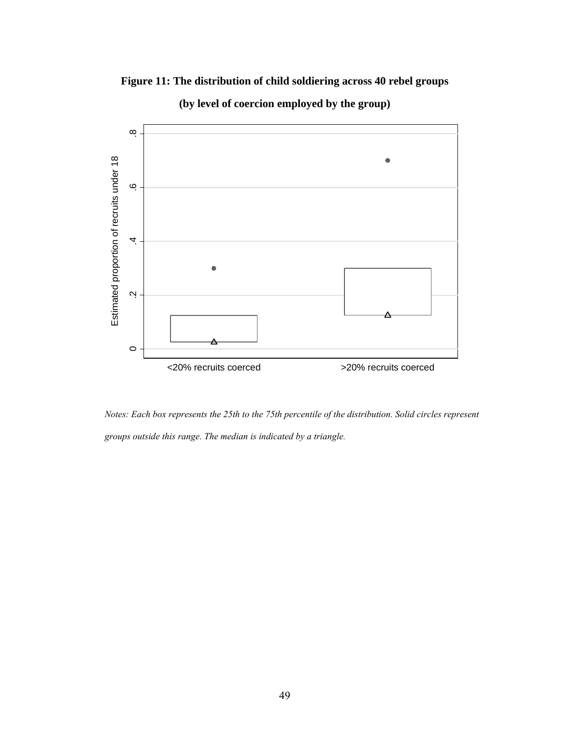



**(by level of coercion employed by the group)** 

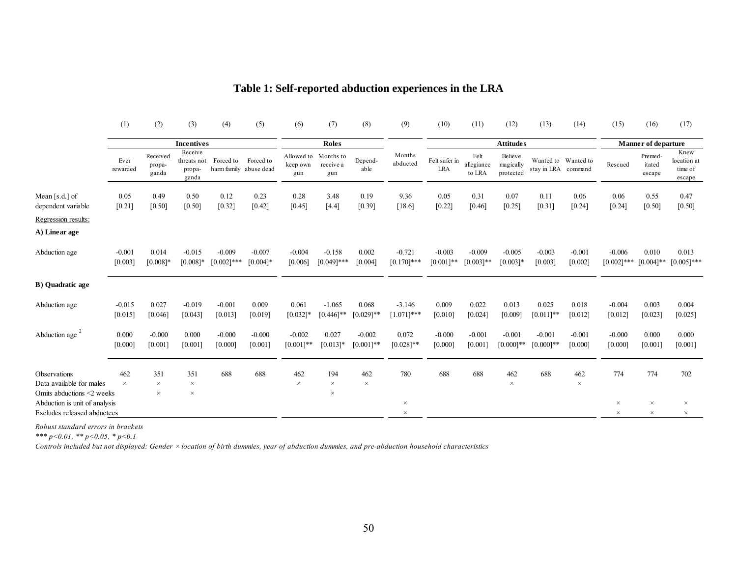|                                                            | (1)                 | (2)                         | (3)                                       | (4)                                           | (5)                     | (6)                           | (7)                           | (8)                     | (9)                       | (10)                        | (11)                         | (12)                              | (13)                                       | (14)                | (15)                      | (16)                        | (17)                                     |
|------------------------------------------------------------|---------------------|-----------------------------|-------------------------------------------|-----------------------------------------------|-------------------------|-------------------------------|-------------------------------|-------------------------|---------------------------|-----------------------------|------------------------------|-----------------------------------|--------------------------------------------|---------------------|---------------------------|-----------------------------|------------------------------------------|
|                                                            | <b>Incentives</b>   |                             |                                           |                                               | <b>Roles</b>            |                               |                               |                         | <b>Attitudes</b>          |                             |                              |                                   | Manner of departure                        |                     |                           |                             |                                          |
|                                                            | Ever<br>rewarded    | Received<br>propa-<br>ganda | Receive<br>threats not<br>propa-<br>ganda | Forced to Forced to<br>harm family abuse dead |                         | Allowed to<br>keep own<br>gun | Months to<br>receive a<br>gun | Depend-<br>able         | Months<br>abducted        | Felt safer in<br><b>LRA</b> | Felt<br>allegiance<br>to LRA | Believe<br>magically<br>protected | Wanted to Wanted to<br>stay in LRA command |                     | Rescued                   | Premed-<br>itated<br>escape | Knew<br>location at<br>time of<br>escape |
| Mean [s.d.] of<br>dependent variable                       | 0.05<br>[0.21]      | 0.49<br>[0.50]              | 0.50<br>[0.50]                            | 0.12<br>[0.32]                                | 0.23<br>[0.42]          | 0.28<br>[0.45]                | 3.48<br>$[4.4]$               | 0.19<br>[0.39]          | 9.36<br>[18.6]            | 0.05<br>$[0.22]$            | 0.31<br>[0.46]               | 0.07<br>$[0.25]$                  | 0.11<br>[0.31]                             | 0.06<br>[0.24]      | 0.06<br>[0.24]            | 0.55<br>[0.50]              | 0.47<br>[0.50]                           |
| Regression results:                                        |                     |                             |                                           |                                               |                         |                               |                               |                         |                           |                             |                              |                                   |                                            |                     |                           |                             |                                          |
| A) Linear age                                              |                     |                             |                                           |                                               |                         |                               |                               |                         |                           |                             |                              |                                   |                                            |                     |                           |                             |                                          |
| Abduction age                                              | $-0.001$<br>[0.003] | 0.014<br>$[0.008]$ *        | $-0.015$<br>$[0.008]*$                    | $-0.009$<br>$[0.002]$ ***                     | $-0.007$<br>$[0.004]$ * | $-0.004$<br>[0.006]           | $-0.158$<br>$[0.049]$ ***     | 0.002<br>[0.004]        | $-0.721$<br>$[0.170]$ *** | $-0.003$<br>$[0.001]**$     | $-0.009$<br>$[0.003]$ **     | $-0.005$<br>$[0.003]*$            | $-0.003$<br>[0.003]                        | $-0.001$<br>[0.002] | $-0.006$<br>$[0.002]$ *** | 0.010<br>$[0.004]$ **       | 0.013<br>$[0.005]$ ***                   |
| <b>B)</b> Quadratic age                                    |                     |                             |                                           |                                               |                         |                               |                               |                         |                           |                             |                              |                                   |                                            |                     |                           |                             |                                          |
| Abduction age                                              | $-0.015$<br>[0.015] | 0.027<br>[0.046]            | $-0.019$<br>[0.043]                       | $-0.001$<br>[0.013]                           | 0.009<br>[0.019]        | 0.061<br>$[0.032]*$           | $-1.065$<br>$[0.446]$ **      | 0.068<br>$[0.029]$ **   | $-3.146$<br>$[1.071]***$  | 0.009<br>[0.010]            | 0.022<br>[0.024]             | 0.013<br>[0.009]                  | 0.025<br>$[0.011]**$                       | 0.018<br>[0.012]    | $-0.004$<br>[0.012]       | 0.003<br>[0.023]            | 0.004<br>[0.025]                         |
| Abduction age <sup>1</sup>                                 | 0.000<br>[0.000]    | $-0.000$<br>[0.001]         | 0.000<br>[0.001]                          | $-0.000$<br>[0.000]                           | $-0.000$<br>[0.001]     | $-0.002$<br>$[0.001]**$       | 0.027<br>$[0.013]*$           | $-0.002$<br>$[0.001]**$ | 0.072<br>$[0.028]$ **     | $-0.000$<br>[0.000]         | $-0.001$<br>[0.001]          | $-0.001$<br>$[0.000]$ **          | $-0.001$<br>$[0.000]$ **                   | $-0.001$<br>[0.000] | $-0.000$<br>[0.000]       | 0.000<br>[0.001]            | 0.000<br>[0.001]                         |
| Observations                                               | 462                 | 351                         | 351                                       | 688                                           | 688                     | 462                           | 194                           | 462                     | 780                       | 688                         | 688                          | 462                               | 688                                        | 462                 | 774                       | 774                         | 702                                      |
| Data available for males                                   | $\times$            | $\times$                    | $\times$                                  |                                               |                         | $\times$                      | $\times$                      | $\times$                |                           |                             |                              | $\times$                          |                                            | $\times$            |                           |                             |                                          |
| Omits abductions <2 weeks<br>Abduction is unit of analysis |                     | $\times$                    | $\times$                                  |                                               |                         |                               | $\times$                      |                         | $\times$                  |                             |                              |                                   |                                            |                     | $\times$                  | $\times$                    | $\times$                                 |
| <b>Excludes released abductees</b>                         |                     |                             |                                           |                                               |                         |                               |                               |                         | $\times$                  |                             |                              |                                   |                                            |                     | $\times$                  | $\times$                    | $\times$                                 |

## **Table 1: Self-reported abduction experiences in the LRA**

*Robust standard errors in brackets*

*\*\*\* p<0.01, \*\* p<0.05, \* p<0.1*

*Controls included but not displayed: Gender* × *location of birth dummies, year of abduction dummies, and pre-abduction household characteristics*